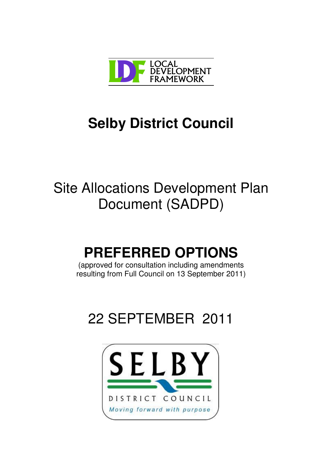

# **Selby District Council**

# Site Allocations Development Plan Document (SADPD)

# **PREFERRED OPTIONS**

(approved for consultation including amendments resulting from Full Council on 13 September 2011)

# 22 SEPTEMBER 2011

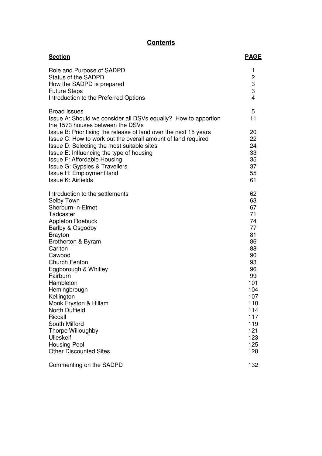### **Contents**

| <b>Section</b>                                                                                                                                                                                                                                                                                                                                                                                                                                                             | <b>PAGE</b>                                                                                                                                             |
|----------------------------------------------------------------------------------------------------------------------------------------------------------------------------------------------------------------------------------------------------------------------------------------------------------------------------------------------------------------------------------------------------------------------------------------------------------------------------|---------------------------------------------------------------------------------------------------------------------------------------------------------|
| Role and Purpose of SADPD<br><b>Status of the SADPD</b><br>How the SADPD is prepared<br><b>Future Steps</b><br>Introduction to the Preferred Options                                                                                                                                                                                                                                                                                                                       | 1<br>$\overline{c}$<br>3<br>3<br>$\overline{4}$                                                                                                         |
| <b>Broad Issues</b><br>Issue A: Should we consider all DSVs equally? How to apportion<br>the 1573 houses between the DSVs                                                                                                                                                                                                                                                                                                                                                  | 5<br>11                                                                                                                                                 |
| Issue B: Prioritising the release of land over the next 15 years<br>Issue C: How to work out the overall amount of land required<br>Issue D: Selecting the most suitable sites<br>Issue E: Influencing the type of housing<br>Issue F: Affordable Housing<br>Issue G: Gypsies & Travellers<br>Issue H: Employment land<br>Issue K: Airfields                                                                                                                               | 20<br>22<br>24<br>33<br>35<br>37<br>55<br>61                                                                                                            |
| Introduction to the settlements<br>Selby Town<br>Sherburn-in-Elmet<br>Tadcaster<br><b>Appleton Roebuck</b><br>Barlby & Osgodby<br><b>Brayton</b><br>Brotherton & Byram<br>Carlton<br>Cawood<br><b>Church Fenton</b><br>Eggborough & Whitley<br>Fairburn<br>Hambleton<br>Hemingbrough<br>Kellington<br>Monk Fryston & Hillam<br><b>North Duffield</b><br>Riccall<br>South Milford<br>Thorpe Willoughby<br>Ulleskelf<br><b>Housing Pool</b><br><b>Other Discounted Sites</b> | 62<br>63<br>67<br>71<br>74<br>77<br>81<br>86<br>88<br>90<br>93<br>96<br>99<br>101<br>104<br>107<br>110<br>114<br>117<br>119<br>121<br>123<br>125<br>128 |
| Commenting on the SADPD                                                                                                                                                                                                                                                                                                                                                                                                                                                    | 132                                                                                                                                                     |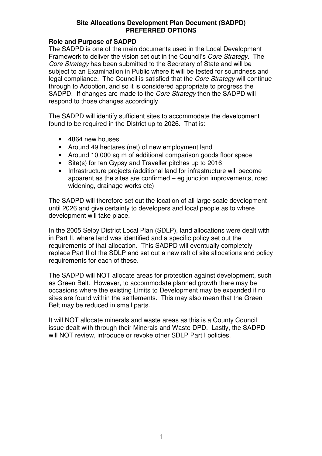### **Role and Purpose of SADPD**

The SADPD is one of the main documents used in the Local Development Framework to deliver the vision set out in the Council's *Core Strategy*. The *Core Strategy* has been submitted to the Secretary of State and will be subject to an Examination in Public where it will be tested for soundness and legal compliance. The Council is satisfied that the *Core Strategy* will continue through to Adoption, and so it is considered appropriate to progress the SADPD. If changes are made to the *Core Strategy* then the SADPD will respond to those changes accordingly.

The SADPD will identify sufficient sites to accommodate the development found to be required in the District up to 2026. That is:

- 4864 new houses
- Around 49 hectares (net) of new employment land
- Around 10,000 sq m of additional comparison goods floor space
- Site(s) for ten Gypsy and Traveller pitches up to 2016
- Infrastructure projects (additional land for infrastructure will become apparent as the sites are confirmed – eg junction improvements, road widening, drainage works etc)

The SADPD will therefore set out the location of all large scale development until 2026 and give certainty to developers and local people as to where development will take place.

In the 2005 Selby District Local Plan (SDLP), land allocations were dealt with in Part II, where land was identified and a specific policy set out the requirements of that allocation. This SADPD will eventually completely replace Part II of the SDLP and set out a new raft of site allocations and policy requirements for each of these.

The SADPD will NOT allocate areas for protection against development, such as Green Belt. However, to accommodate planned growth there may be occasions where the existing Limits to Development may be expanded if no sites are found within the settlements. This may also mean that the Green Belt may be reduced in small parts.

It will NOT allocate minerals and waste areas as this is a County Council issue dealt with through their Minerals and Waste DPD. Lastly, the SADPD will NOT review, introduce or revoke other SDLP Part I policies.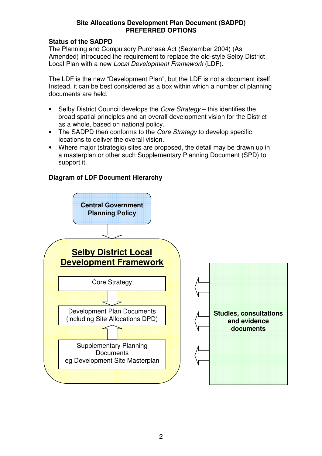### **Status of the SADPD**

The Planning and Compulsory Purchase Act (September 2004) (As Amended) introduced the requirement to replace the old-style Selby District Local Plan with a new *Local Development Framework* (LDF).

The LDF is the new "Development Plan", but the LDF is not a document itself. Instead, it can be best considered as a box within which a number of planning documents are held:

- Selby District Council develops the *Core Strategy* this identifies the broad spatial principles and an overall development vision for the District as a whole, based on national policy.
- The SADPD then conforms to the *Core Strategy* to develop specific locations to deliver the overall vision.
- Where major (strategic) sites are proposed, the detail may be drawn up in a masterplan or other such Supplementary Planning Document (SPD) to support it.

### **Diagram of LDF Document Hierarchy**

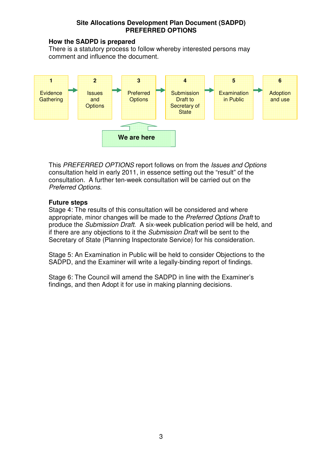### **How the SADPD is prepared**

There is a statutory process to follow whereby interested persons may comment and influence the document.



This *PREFERRED OPTIONS* report follows on from the *Issues and Options* consultation held in early 2011, in essence setting out the "result" of the consultation. A further ten-week consultation will be carried out on the *Preferred Options.*

### **Future steps**

Stage 4: The results of this consultation will be considered and where appropriate, minor changes will be made to the *Preferred Options Draft* to produce the *Submission Draft*. A six-week publication period will be held, and if there are any objections to it the *Submission Draft* will be sent to the Secretary of State (Planning Inspectorate Service) for his consideration.

Stage 5: An Examination in Public will be held to consider Objections to the SADPD, and the Examiner will write a legally-binding report of findings.

Stage 6: The Council will amend the SADPD in line with the Examiner's findings, and then Adopt it for use in making planning decisions.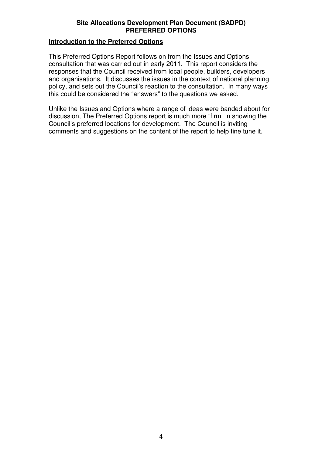### **Introduction to the Preferred Options**

This Preferred Options Report follows on from the Issues and Options consultation that was carried out in early 2011. This report considers the responses that the Council received from local people, builders, developers and organisations. It discusses the issues in the context of national planning policy, and sets out the Council's reaction to the consultation. In many ways this could be considered the "answers" to the questions we asked.

Unlike the Issues and Options where a range of ideas were banded about for discussion, The Preferred Options report is much more "firm" in showing the Council's preferred locations for development. The Council is inviting comments and suggestions on the content of the report to help fine tune it.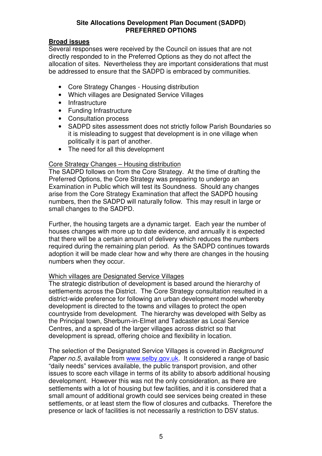### **Broad issues**

Several responses were received by the Council on issues that are not directly responded to in the Preferred Options as they do not affect the allocation of sites. Nevertheless they are important considerations that must be addressed to ensure that the SADPD is embraced by communities.

- Core Strategy Changes Housing distribution
- Which villages are Designated Service Villages
- Infrastructure
- Funding Infrastructure
- Consultation process
- SADPD sites assessment does not strictly follow Parish Boundaries so it is misleading to suggest that development is in one village when politically it is part of another.
- The need for all this development

### Core Strategy Changes – Housing distribution

The SADPD follows on from the Core Strategy. At the time of drafting the Preferred Options, the Core Strategy was preparing to undergo an Examination in Public which will test its Soundness. Should any changes arise from the Core Strategy Examination that affect the SADPD housing numbers, then the SADPD will naturally follow. This may result in large or small changes to the SADPD.

Further, the housing targets are a dynamic target. Each year the number of houses changes with more up to date evidence, and annually it is expected that there will be a certain amount of delivery which reduces the numbers required during the remaining plan period. As the SADPD continues towards adoption it will be made clear how and why there are changes in the housing numbers when they occur.

### Which villages are Designated Service Villages

The strategic distribution of development is based around the hierarchy of settlements across the District. The Core Strategy consultation resulted in a district-wide preference for following an urban development model whereby development is directed to the towns and villages to protect the open countryside from development. The hierarchy was developed with Selby as the Principal town, Sherburn-in-Elmet and Tadcaster as Local Service Centres, and a spread of the larger villages across district so that development is spread, offering choice and flexibility in location.

The selection of the Designated Service Villages is covered in *Background Paper no.5*, available from www.selby.gov.uk. It considered a range of basic "daily needs" services available, the public transport provision, and other issues to score each village in terms of its ability to absorb additional housing development. However this was not the only consideration, as there are settlements with a lot of housing but few facilities, and it is considered that a small amount of additional growth could see services being created in these settlements, or at least stem the flow of closures and cutbacks. Therefore the presence or lack of facilities is not necessarily a restriction to DSV status.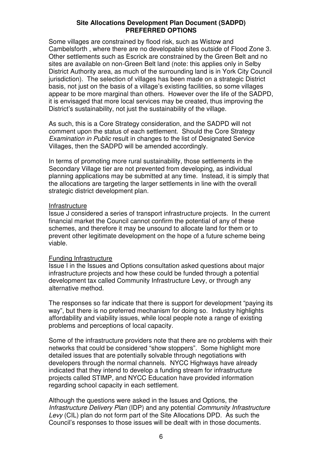Some villages are constrained by flood risk, such as Wistow and Cambelsforth , where there are no developable sites outside of Flood Zone 3. Other settlements such as Escrick are constrained by the Green Belt and no sites are available on non-Green Belt land (note: this applies only in Selby District Authority area, as much of the surrounding land is in York City Council jurisdiction). The selection of villages has been made on a strategic District basis, not just on the basis of a village's existing facilities, so some villages appear to be more marginal than others. However over the life of the SADPD, it is envisaged that more local services may be created, thus improving the District's sustainability, not just the sustainability of the village.

As such, this is a Core Strategy consideration, and the SADPD will not comment upon the status of each settlement. Should the Core Strategy *Examination in Public* result in changes to the list of Designated Service Villages, then the SADPD will be amended accordingly.

In terms of promoting more rural sustainability, those settlements in the Secondary Village tier are not prevented from developing, as individual planning applications may be submitted at any time. Instead, it is simply that the allocations are targeting the larger settlements in line with the overall strategic district development plan.

### **Infrastructure**

Issue J considered a series of transport infrastructure projects. In the current financial market the Council cannot confirm the potential of any of these schemes, and therefore it may be unsound to allocate land for them or to prevent other legitimate development on the hope of a future scheme being viable.

### Funding Infrastructure

Issue I in the Issues and Options consultation asked questions about major infrastructure projects and how these could be funded through a potential development tax called Community Infrastructure Levy, or through any alternative method.

The responses so far indicate that there is support for development "paying its way", but there is no preferred mechanism for doing so. Industry highlights affordability and viability issues, while local people note a range of existing problems and perceptions of local capacity.

Some of the infrastructure providers note that there are no problems with their networks that could be considered "show stoppers". Some highlight more detailed issues that are potentially solvable through negotiations with developers through the normal channels. NYCC Highways have already indicated that they intend to develop a funding stream for infrastructure projects called STIMP, and NYCC Education have provided information regarding school capacity in each settlement.

Although the questions were asked in the Issues and Options, the *Infrastructure Delivery Plan* (IDP) and any potential *Community Infrastructure Levy* (CIL) plan do not form part of the Site Allocations DPD. As such the Council's responses to those issues will be dealt with in those documents.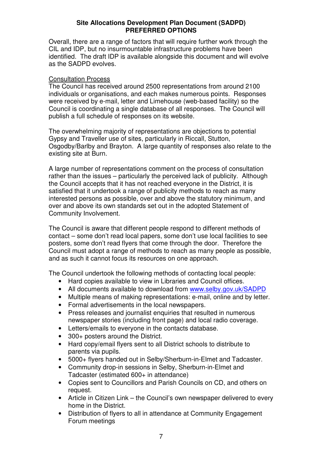Overall, there are a range of factors that will require further work through the CIL and IDP, but no insurmountable infrastructure problems have been identified. The draft IDP is available alongside this document and will evolve as the SADPD evolves.

### Consultation Process

The Council has received around 2500 representations from around 2100 individuals or organisations, and each makes numerous points. Responses were received by e-mail, letter and Limehouse (web-based facility) so the Council is coordinating a single database of all responses. The Council will publish a full schedule of responses on its website.

The overwhelming majority of representations are objections to potential Gypsy and Traveller use of sites, particularly in Riccall, Stutton, Osgodby/Barlby and Brayton. A large quantity of responses also relate to the existing site at Burn.

A large number of representations comment on the process of consultation rather than the issues – particularly the perceived lack of publicity. Although the Council accepts that it has not reached everyone in the District, it is satisfied that it undertook a range of publicity methods to reach as many interested persons as possible, over and above the statutory minimum, and over and above its own standards set out in the adopted Statement of Community Involvement.

The Council is aware that different people respond to different methods of contact – some don't read local papers, some don't use local facilities to see posters, some don't read flyers that come through the door. Therefore the Council must adopt a range of methods to reach as many people as possible, and as such it cannot focus its resources on one approach.

The Council undertook the following methods of contacting local people:

- Hard copies available to view in Libraries and Council offices.
- All documents available to download from www.selby.gov.uk/SADPD
- Multiple means of making representations: e-mail, online and by letter.
- Formal advertisements in the local newspapers.
- Press releases and journalist enquiries that resulted in numerous newspaper stories (including front page) and local radio coverage.
- Letters/emails to everyone in the contacts database.
- 300+ posters around the District.
- Hard copy/email flyers sent to all District schools to distribute to parents via pupils.
- 5000+ flyers handed out in Selby/Sherburn-in-Elmet and Tadcaster.
- Community drop-in sessions in Selby, Sherburn-in-Elmet and Tadcaster (estimated 600+ in attendance)
- Copies sent to Councillors and Parish Councils on CD, and others on request.
- Article in Citizen Link the Council's own newspaper delivered to every home in the District.
- Distribution of flyers to all in attendance at Community Engagement Forum meetings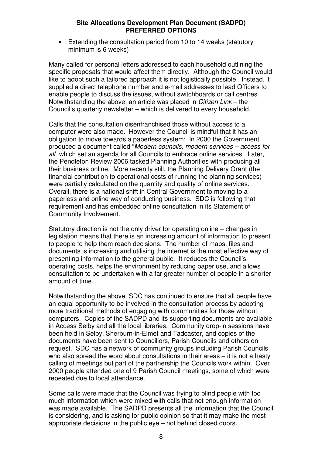• Extending the consultation period from 10 to 14 weeks (statutory minimum is 6 weeks)

Many called for personal letters addressed to each household outlining the specific proposals that would affect them directly. Although the Council would like to adopt such a tailored approach it is not logistically possible. Instead, it supplied a direct telephone number and e-mail addresses to lead Officers to enable people to discuss the issues, without switchboards or call centres. Notwithstanding the above, an article was placed in *Citizen Link* – the Council's quarterly newsletter – which is delivered to every household.

Calls that the consultation disenfranchised those without access to a computer were also made. However the Council is mindful that it has an obligation to move towards a paperless system: In 2000 the Government produced a document called "*Modern councils, modern services – access for all*" which set an agenda for all Councils to embrace online services. Later, the Pendleton Review 2006 tasked Planning Authorities with producing all their business online. More recently still, the Planning Delivery Grant (the financial contribution to operational costs of running the planning services) were partially calculated on the quantity and quality of online services. Overall, there is a national shift in Central Government to moving to a paperless and online way of conducting business. SDC is following that requirement and has embedded online consultation in its Statement of Community Involvement.

Statutory direction is not the only driver for operating online – changes in legislation means that there is an increasing amount of information to present to people to help them reach decisions. The number of maps, files and documents is increasing and utilising the internet is the most effective way of presenting information to the general public. It reduces the Council's operating costs, helps the environment by reducing paper use, and allows consultation to be undertaken with a far greater number of people in a shorter amount of time.

Notwithstanding the above, SDC has continued to ensure that all people have an equal opportunity to be involved in the consultation process by adopting more traditional methods of engaging with communities for those without computers. Copies of the SADPD and its supporting documents are available in Access Selby and all the local libraries. Community drop-in sessions have been held in Selby, Sherburn-in-Elmet and Tadcaster, and copies of the documents have been sent to Councillors, Parish Councils and others on request. SDC has a network of community groups including Parish Councils who also spread the word about consultations in their areas – it is not a hasty calling of meetings but part of the partnership the Councils work within. Over 2000 people attended one of 9 Parish Council meetings, some of which were repeated due to local attendance.

Some calls were made that the Council was trying to blind people with too much information which were mixed with calls that not enough information was made available. The SADPD presents all the information that the Council is considering, and is asking for public opinion so that it may make the most appropriate decisions in the public eye – not behind closed doors.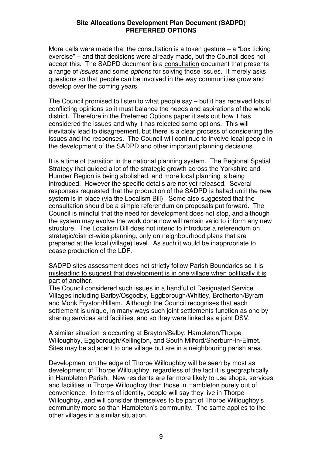More calls were made that the consultation is a token gesture  $-$  a "box ticking" exercise" – and that decisions were already made, but the Council does not accept this. The SADPD document is a consultation document that presents a range of *issues* and some *options* for solving those issues. It merely asks questions so that people can be involved in the way communities grow and develop over the coming years.

The Council promised to listen to what people say – but it has received lots of conflicting opinions so it must balance the needs and aspirations of the whole district. Therefore in the Preferred Options paper it sets out how it has considered the issues and why it has rejected some options. This will inevitably lead to disagreement, but there is a clear process of considering the issues and the responses. The Council will continue to involve local people in the development of the SADPD and other important planning decisions.

It is a time of transition in the national planning system. The Regional Spatial Strategy that guided a lot of the strategic growth across the Yorkshire and Humber Region is being abolished, and more local planning is being introduced. However the specific details are not yet released. Several responses requested that the production of the SADPD is halted until the new system is in place (via the Localism Bill). Some also suggested that the consultation should be a simple referendum on proposals put forward. The Council is mindful that the need for development does not stop, and although the system may evolve the work done now will remain valid to inform any new structure. The Localism Bill does not intend to introduce a referendum on strategic/district-wide planning, only on neighbourhood plans that are prepared at the local (village) level. As such it would be inappropriate to cease production of the LDF.

SADPD sites assessment does not strictly follow Parish Boundaries so it is misleading to suggest that development is in one village when politically it is part of another.

The Council considered such issues in a handful of Designated Service Villages including Barlby/Osgodby, Eggborough/Whitley, Brotherton/Byram and Monk Fryston/Hillam. Although the Council recognises that each settlement is unique, in many ways such joint settlements function as one by sharing services and facilities, and so they were linked as a joint DSV.

A similar situation is occurring at Brayton/Selby, Hambleton/Thorpe Willoughby, Eggborough/Kellington, and South Milford/Sherburn-in-Elmet. Sites may be adjacent to one village but are in a neighbouring parish area.

Development on the edge of Thorpe Willoughby will be seen by most as development of Thorpe Willoughby, regardless of the fact it is geographically in Hambleton Parish. New residents are far more likely to use shops, services and facilities in Thorpe Willoughby than those in Hambleton purely out of convenience. In terms of identity, people will say they live in Thorpe Willoughby, and will consider themselves to be part of Thorpe Willoughby's community more so than Hambleton's community. The same applies to the other villages in a similar situation.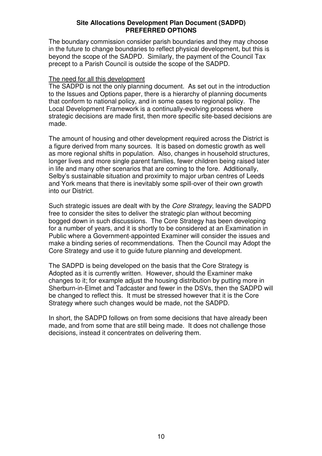The boundary commission consider parish boundaries and they may choose in the future to change boundaries to reflect physical development, but this is beyond the scope of the SADPD. Similarly, the payment of the Council Tax precept to a Parish Council is outside the scope of the SADPD.

### The need for all this development

The SADPD is not the only planning document. As set out in the introduction to the Issues and Options paper, there is a hierarchy of planning documents that conform to national policy, and in some cases to regional policy. The Local Development Framework is a continually-evolving process where strategic decisions are made first, then more specific site-based decisions are made.

The amount of housing and other development required across the District is a figure derived from many sources. It is based on domestic growth as well as more regional shifts in population. Also, changes in household structures, longer lives and more single parent families, fewer children being raised later in life and many other scenarios that are coming to the fore. Additionally, Selby's sustainable situation and proximity to major urban centres of Leeds and York means that there is inevitably some spill-over of their own growth into our District.

Such strategic issues are dealt with by the *Core Strategy*, leaving the SADPD free to consider the sites to deliver the strategic plan without becoming bogged down in such discussions. The Core Strategy has been developing for a number of years, and it is shortly to be considered at an Examination in Public where a Government-appointed Examiner will consider the issues and make a binding series of recommendations. Then the Council may Adopt the Core Strategy and use it to guide future planning and development.

The SADPD is being developed on the basis that the Core Strategy is Adopted as it is currently written. However, should the Examiner make changes to it; for example adjust the housing distribution by putting more in Sherburn-in-Elmet and Tadcaster and fewer in the DSVs, then the SADPD will be changed to reflect this. It must be stressed however that it is the Core Strategy where such changes would be made, not the SADPD.

In short, the SADPD follows on from some decisions that have already been made, and from some that are still being made. It does not challenge those decisions, instead it concentrates on delivering them.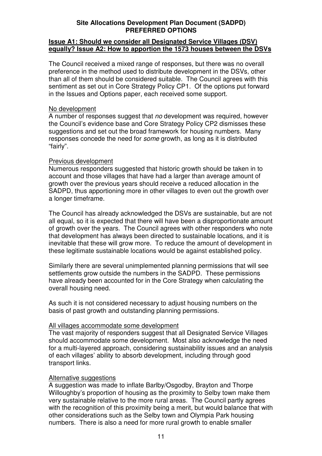### **Issue A1: Should we consider all Designated Service Villages (DSV) equally? Issue A2: How to apportion the 1573 houses between the DSVs**

The Council received a mixed range of responses, but there was no overall preference in the method used to distribute development in the DSVs, other than all of them should be considered suitable. The Council agrees with this sentiment as set out in Core Strategy Policy CP1. Of the options put forward in the Issues and Options paper, each received some support.

### No development

A number of responses suggest that *no* development was required, however the Council's evidence base and Core Strategy Policy CP2 dismisses these suggestions and set out the broad framework for housing numbers. Many responses concede the need for *some* growth, as long as it is distributed "fairly".

### Previous development

Numerous responders suggested that historic growth should be taken in to account and those villages that have had a larger than average amount of growth over the previous years should receive a reduced allocation in the SADPD, thus apportioning more in other villages to even out the growth over a longer timeframe.

The Council has already acknowledged the DSVs are sustainable, but are not all equal, so it is expected that there will have been a disproportionate amount of growth over the years. The Council agrees with other responders who note that development has always been directed to sustainable locations, and it is inevitable that these will grow more. To reduce the amount of development in these legitimate sustainable locations would be against established policy.

Similarly there are several unimplemented planning permissions that will see settlements grow outside the numbers in the SADPD. These permissions have already been accounted for in the Core Strategy when calculating the overall housing need.

As such it is not considered necessary to adjust housing numbers on the basis of past growth and outstanding planning permissions.

### All villages accommodate some development

The vast majority of responders suggest that all Designated Service Villages should accommodate some development. Most also acknowledge the need for a multi-layered approach, considering sustainability issues and an analysis of each villages' ability to absorb development, including through good transport links.

### Alternative suggestions

A suggestion was made to inflate Barlby/Osgodby, Brayton and Thorpe Willoughby's proportion of housing as the proximity to Selby town make them very sustainable relative to the more rural areas. The Council partly agrees with the recognition of this proximity being a merit, but would balance that with other considerations such as the Selby town and Olympia Park housing numbers. There is also a need for more rural growth to enable smaller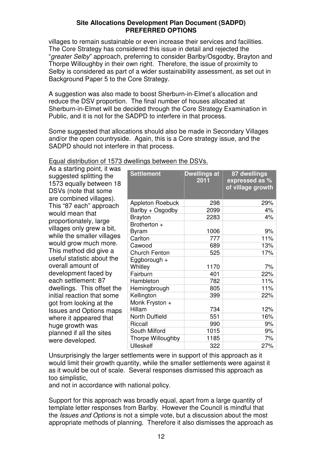villages to remain sustainable or even increase their services and facilities. The Core Strategy has considered this issue in detail and rejected the "*greater Selby*" approach, preferring to consider Barlby/Osgodby, Brayton and Thorpe Willoughby in their own right. Therefore, the issue of proximity to Selby is considered as part of a wider sustainability assessment, as set out in Background Paper 5 to the Core Strategy.

A suggestion was also made to boost Sherburn-in-Elmet's allocation and reduce the DSV proportion. The final number of houses allocated at Sherburn-in-Elmet will be decided through the Core Strategy Examination in Public, and it is not for the SADPD to interfere in that process.

Some suggested that allocations should also be made in Secondary Villages and/or the open countryside. Again, this is a Core strategy issue, and the SADPD should not interfere in that process.

| As a starting point, it was                                                |                         |                             |                                                     |
|----------------------------------------------------------------------------|-------------------------|-----------------------------|-----------------------------------------------------|
| suggested splitting the<br>1573 equally between 18<br>DSVs (note that some | <b>Settlement</b>       | <b>Dwellings at</b><br>2011 | 87 dwellings<br>expressed as %<br>of village growth |
| are combined villages).                                                    | Appleton Roebuck        | 298                         | 29%                                                 |
| This "87 each" approach                                                    | Barlby + Osgodby        | 2099                        | 4%                                                  |
| would mean that                                                            | <b>Brayton</b>          | 2283                        | 4%                                                  |
| proportionately, large                                                     | Brotherton +            |                             |                                                     |
| villages only grew a bit,                                                  | Byram                   | 1006                        | 9%                                                  |
| while the smaller villages                                                 | Carlton                 | 777                         | 11%                                                 |
| would grow much more.                                                      | Cawood                  | 689                         | 13%                                                 |
| This method did give a                                                     | <b>Church Fenton</b>    | 525                         | 17%                                                 |
| useful statistic about the<br>overall amount of                            | Eggborough +<br>Whitley | 1170                        | 7%                                                  |
| development faced by                                                       | Fairburn                | 401                         | 22%                                                 |
| each settlement: 87                                                        | Hambleton               | 782                         | 11%                                                 |
| dwellings. This offset the                                                 | Hemingbrough            | 805                         | 11%                                                 |
| initial reaction that some                                                 | Kellington              | 399                         | 22%                                                 |
| got from looking at the                                                    | Monk Fryston +          |                             |                                                     |
| <b>Issues and Options maps</b>                                             | Hillam                  | 734                         | 12%                                                 |
| where it appeared that                                                     | North Duffield          | 551                         | 16%                                                 |
| huge growth was                                                            | Riccall                 | 990                         | 9%                                                  |
| planned if all the sites                                                   | South Milford           | 1015                        | 9%                                                  |
| were developed.                                                            | Thorpe Willoughby       | 1185                        | 7%                                                  |
|                                                                            | <b>Ulleskelf</b>        | 322                         | 27%                                                 |

### Equal distribution of 1573 dwellings between the DSVs.

Unsurprisingly the larger settlements were in support of this approach as it would limit their growth quantity, while the smaller settlements were against it as it would be out of scale. Several responses dismissed this approach as too simplistic,

and not in accordance with national policy.

Support for this approach was broadly equal, apart from a large quantity of template letter responses from Barlby. However the Council is mindful that the *Issues and Options* is not a simple vote, but a discussion about the most appropriate methods of planning. Therefore it also dismisses the approach as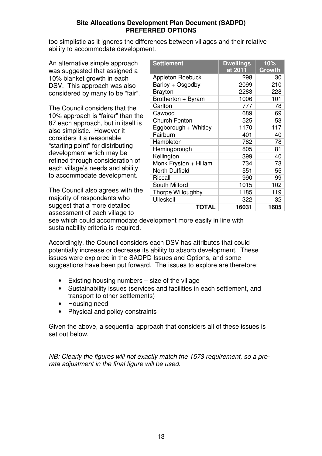too simplistic as it ignores the differences between villages and their relative ability to accommodate development.

An alternative simple approach was suggested that assigned a 10% blanket growth in each DSV. This approach was also considered by many to be "fair".

The Council considers that the 10% approach is "fairer" than the 87 each approach, but in itself is also simplistic. However it considers it a reasonable "starting point" for distributing development which may be refined through consideration of each village's needs and ability to accommodate development.

The Council also agrees with the majority of respondents who suggest that a more detailed assessment of each village to

| <b>Settlement</b>       | <b>Dwellings</b><br>at 2011 | 10%<br>Growth |
|-------------------------|-----------------------------|---------------|
| <b>Appleton Roebuck</b> | 298                         | 30            |
| Barlby + Osgodby        | 2099                        | 210           |
| <b>Brayton</b>          | 2283                        | 228           |
| Brotherton + Byram      | 1006                        | 101           |
| Carlton                 | 777                         | 78            |
| Cawood                  | 689                         | 69            |
| <b>Church Fenton</b>    | 525                         | 53            |
| Eggborough + Whitley    | 1170                        | 117           |
| Fairburn                | 401                         | 40            |
| Hambleton               | 782                         | 78            |
| Hemingbrough            | 805                         | 81            |
| Kellington              | 399                         | 40            |
| Monk Fryston + Hillam   | 734                         | 73            |
| <b>North Duffield</b>   | 551                         | 55            |
| Riccall                 | 990                         | 99            |
| South Milford           | 1015                        | 102           |
| Thorpe Willoughby       | 1185                        | 119           |
| <b>Ulleskelf</b>        | 322                         | 32            |
| <b>TOTAL</b>            | 16031                       | 1605          |

see which could accommodate development more easily in line with sustainability criteria is required.

Accordingly, the Council considers each DSV has attributes that could potentially increase or decrease its ability to absorb development. These issues were explored in the SADPD Issues and Options, and some suggestions have been put forward. The issues to explore are therefore:

- Existing housing numbers size of the village
- Sustainability issues (services and facilities in each settlement, and transport to other settlements)
- Housing need
- Physical and policy constraints

Given the above, a sequential approach that considers all of these issues is set out below.

*NB: Clearly the figures will not exactly match the 1573 requirement, so a prorata adjustment in the final figure will be used.*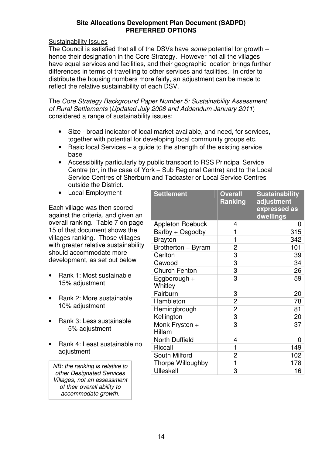### Sustainability Issues

The Council is satisfied that all of the DSVs have *some* potential for growth – hence their designation in the Core Strategy. However not all the villages have equal services and facilities, and their geographic location brings further differences in terms of travelling to other services and facilities. In order to distribute the housing numbers more fairly, an adjustment can be made to reflect the relative sustainability of each DSV.

The *Core Strategy Background Paper Number 5: Sustainability Assessment of Rural Settlements* (*Updated July 2008 and Addendum January 2011*) considered a range of sustainability issues:

- Size broad indicator of local market available, and need, for services, together with potential for developing local community groups etc.
- $\bullet$  Basic local Services a quide to the strength of the existing service base
- Accessibility particularly by public transport to RSS Principal Service Centre (or, in the case of York – Sub Regional Centre) and to the Local Service Centres of Sherburn and Tadcaster or Local Service Centres outside the District.
- Local Employment

Each village was then scored against the criteria, and given an overall ranking. Table 7 on page 15 of that document shows the villages ranking. Those villages with greater relative sustainability should accommodate more development, as set out below

- Rank 1: Most sustainable 15% adjustment
- Rank 2: More sustainable 10% adjustment
- Rank 3: Less sustainable 5% adjustment
- Rank 4: Least sustainable no adjustment

*NB: the ranking is relative to other Designated Services Villages, not an assessment of their overall ability to accommodate growth.*

| <b>Settlement</b>        | <b>Overall</b><br><b>Ranking</b> | <b>Sustainability</b><br>adjustment<br>expressed as<br>dwellings |
|--------------------------|----------------------------------|------------------------------------------------------------------|
| <b>Appleton Roebuck</b>  | 4                                | 0                                                                |
| Barlby + Osgodby         | 1                                | 315                                                              |
| <b>Brayton</b>           | 1                                | 342                                                              |
| Brotherton + Byram       | 2                                | 101                                                              |
| Carlton                  | 3                                | 39                                                               |
| Cawood                   | 3                                | 34                                                               |
| <b>Church Fenton</b>     | 3                                | 26                                                               |
| Eggborough +<br>Whitley  | 3                                | 59                                                               |
| Fairburn                 | 3                                | 20                                                               |
| Hambleton                | $\overline{2}$                   | 78                                                               |
| Hemingbrough             | $\overline{2}$                   | 81                                                               |
| Kellington               | $\overline{3}$                   | 20                                                               |
| Monk Fryston +<br>Hillam | 3                                | 37                                                               |
| North Duffield           | 4                                | 0                                                                |
| Riccall                  | 1                                | 149                                                              |
| South Milford            | 2                                | 102                                                              |
| <b>Thorpe Willoughby</b> | 1                                | 178                                                              |
| <b>Ulleskelf</b>         | 3                                | 16                                                               |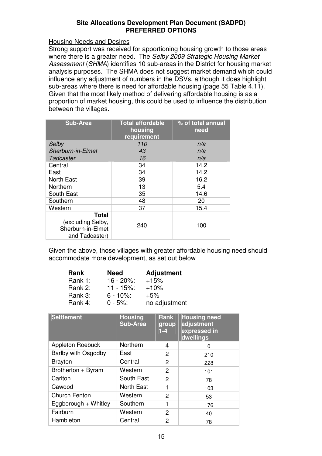### Housing Needs and Desires

Strong support was received for apportioning housing growth to those areas where there is a greater need. The *Selby 2009 Strategic Housing Market Assessment* (*SHMA*) identifies 10 sub-areas in the District for housing market analysis purposes. The SHMA does not suggest market demand which could influence any adjustment of numbers in the DSVs, although it does highlight sub-areas where there is need for affordable housing (page 55 Table 4.11). Given that the most likely method of delivering affordable housing is as a proportion of market housing, this could be used to influence the distribution between the villages.

| <b>Sub-Area</b>                                                          | <b>Total affordable</b><br>housing<br>requirement | % of total annual<br>need |
|--------------------------------------------------------------------------|---------------------------------------------------|---------------------------|
| Selby                                                                    | 110                                               | n/a                       |
| Sherburn-in-Elmet                                                        | 43                                                | n/a                       |
| <b>Tadcaster</b>                                                         | 16                                                | n/a                       |
| Central                                                                  | 34                                                | 14.2                      |
| East                                                                     | 34                                                | 14.2                      |
| <b>North East</b>                                                        | 39                                                | 16.2                      |
| Northern                                                                 | 13                                                | 5.4                       |
| South East                                                               | 35                                                | 14.6                      |
| Southern                                                                 | 48                                                | 20                        |
| Western                                                                  | 37                                                | 15.4                      |
| <b>Total</b><br>(excluding Selby,<br>Sherburn-in-Elmet<br>and Tadcaster) | 240                                               | 100                       |

Given the above, those villages with greater affordable housing need should accommodate more development, as set out below

| Rank    | <b>Need</b>   | <b>Adjustment</b> |
|---------|---------------|-------------------|
| Rank 1: | $16 - 20\%$ : | $+15%$            |
| Rank 2: | $11 - 15\%$ : | $+10%$            |
| Rank 3: | $6 - 10\%$ :  | $+5%$             |
| Rank 4: | $0 - 5\%$ :   | no adjustment     |

| <b>Settlement</b>       | <b>Housing</b><br><b>Sub-Area</b> | <b>Rank</b><br>group<br>$1-4$ | <b>Housing need</b><br>adjustment<br>expressed in<br>dwellings |
|-------------------------|-----------------------------------|-------------------------------|----------------------------------------------------------------|
| <b>Appleton Roebuck</b> | Northern                          | 4                             | 0                                                              |
| Barlby with Osgodby     | East                              | 2                             | 210                                                            |
| <b>Brayton</b>          | Central                           | 2                             | 228                                                            |
| Brotherton + Byram      | Western                           | 2                             | 101                                                            |
| Carlton                 | South East                        | $\overline{2}$                | 78                                                             |
| Cawood                  | <b>North East</b>                 | 1                             | 103                                                            |
| <b>Church Fenton</b>    | Western                           | $\overline{c}$                | 53                                                             |
| Eggborough + Whitley    | Southern                          | 1                             | 176                                                            |
| Fairburn                | Western                           | 2                             | 40                                                             |
| Hambleton               | Central                           | 2                             | 78                                                             |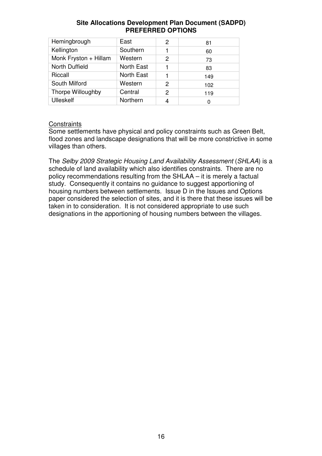| Hemingbrough          | East              | 2 | 81  |
|-----------------------|-------------------|---|-----|
| Kellington            | Southern          |   | 60  |
| Monk Fryston + Hillam | Western           | 2 | 73  |
| North Duffield        | North East        |   | 83  |
| Riccall               | <b>North East</b> |   | 149 |
| South Milford         | Western           | 2 | 102 |
| Thorpe Willoughby     | Central           | 2 | 119 |
| <b>Ulleskelf</b>      | Northern          | 4 | 0   |

## **Constraints**

Some settlements have physical and policy constraints such as Green Belt, flood zones and landscape designations that will be more constrictive in some villages than others.

The *Selby 2009 Strategic Housing Land Availability Assessment* (*SHLAA*) is a schedule of land availability which also identifies constraints. There are no policy recommendations resulting from the SHLAA – it is merely a factual study. Consequently it contains no guidance to suggest apportioning of housing numbers between settlements. Issue D in the Issues and Options paper considered the selection of sites, and it is there that these issues will be taken in to consideration. It is not considered appropriate to use such designations in the apportioning of housing numbers between the villages.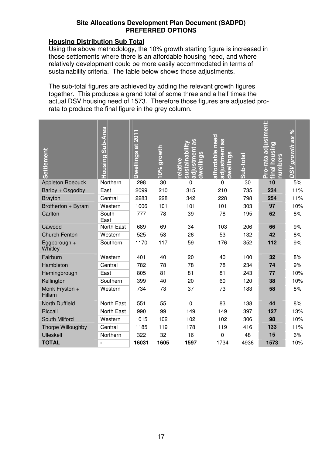### **Housing Distribution Sub Total**

Using the above methodology, the 10% growth starting figure is increased in those settlements where there is an affordable housing need, and where relatively development could be more easily accommodated in terms of sustainability criteria. The table below shows those adjustments.

The sub-total figures are achieved by adding the relevant growth figures together. This produces a grand total of some three and a half times the actual DSV housing need of 1573. Therefore those figures are adjusted prorata to produce the final figure in the grey column.

| <b>Settlement</b>        | Housing Sub-Area | Dwellings at 2011 | <u>10% growth</u> | <b>SB</b><br><u>sustainabili</u><br>ustment<br>wellings<br>elative | need<br>Sp<br><b>Lustment</b><br>affordable<br>wellings<br>$\overline{\bullet}$<br>$\overline{ }$ | Sub-total | ro-rata adjustment:<br><u>final housing</u><br>umbers<br>n. | $\frac{6}{6}$<br><b>DSV</b> growth as |
|--------------------------|------------------|-------------------|-------------------|--------------------------------------------------------------------|---------------------------------------------------------------------------------------------------|-----------|-------------------------------------------------------------|---------------------------------------|
| Appleton Roebuck         | Northern         | 298               | 30                | 0                                                                  | 0                                                                                                 | 30        | 10                                                          | 5%                                    |
| Barlby + Osgodby         | East             | 2099              | 210               | 315                                                                | 210                                                                                               | 735       | 234                                                         | 11%                                   |
| <b>Brayton</b>           | Central          | 2283              | 228               | 342                                                                | 228                                                                                               | 798       | 254                                                         | 11%                                   |
| Brotherton + Byram       | Western          | 1006              | 101               | 101                                                                | 101                                                                                               | 303       | 97                                                          | 10%                                   |
| Carlton                  | South<br>East    | 777               | 78                | 39                                                                 | 78                                                                                                | 195       | 62                                                          | 8%                                    |
| Cawood                   | North East       | 689               | 69                | 34                                                                 | 103                                                                                               | 206       | 66                                                          | 9%                                    |
| <b>Church Fenton</b>     | Western          | 525               | 53                | 26                                                                 | 53                                                                                                | 132       | 42                                                          | 8%                                    |
| Eggborough +<br>Whitley  | Southern         | 1170              | 117               | 59                                                                 | 176                                                                                               | 352       | 112                                                         | 9%                                    |
| Fairburn                 | Western          | 401               | 40                | 20                                                                 | 40                                                                                                | 100       | 32                                                          | 8%                                    |
| Hambleton                | Central          | 782               | 78                | 78                                                                 | 78                                                                                                | 234       | 74                                                          | 9%                                    |
| Hemingbrough             | East             | 805               | 81                | 81                                                                 | 81                                                                                                | 243       | 77                                                          | 10%                                   |
| Kellington               | Southern         | 399               | 40                | 20                                                                 | 60                                                                                                | 120       | 38                                                          | 10%                                   |
| Monk Fryston +<br>Hillam | Western          | 734               | 73                | 37                                                                 | 73                                                                                                | 183       | 58                                                          | 8%                                    |
| <b>North Duffield</b>    | North East       | 551               | 55                | $\mathbf 0$                                                        | 83                                                                                                | 138       | 44                                                          | 8%                                    |
| <b>Riccall</b>           | North East       | 990               | 99                | 149                                                                | 149                                                                                               | 397       | 127                                                         | 13%                                   |
| South Milford            | Western          | 1015              | 102               | 102                                                                | 102                                                                                               | 306       | 98                                                          | 10%                                   |
| Thorpe Willoughby        | Central          | 1185              | 119               | 178                                                                | 119                                                                                               | 416       | 133                                                         | 11%                                   |
| <b>Ulleskelf</b>         | Northern         | 322               | 32                | 16                                                                 | $\mathbf 0$                                                                                       | 48        | 15                                                          | 6%                                    |
| <b>TOTAL</b>             | ۰                | 16031             | 1605              | 1597                                                               | 1734                                                                                              | 4936      | 1573                                                        | 10%                                   |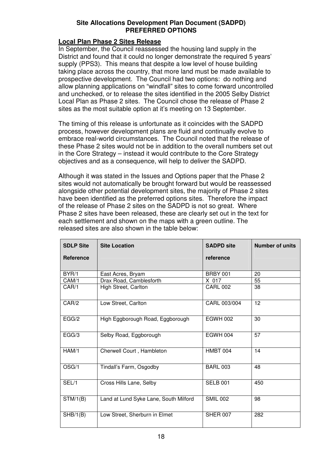### **Local Plan Phase 2 Sites Release**

In September, the Council reassessed the housing land supply in the District and found that it could no longer demonstrate the required 5 years' supply (PPS3). This means that despite a low level of house building taking place across the country, that more land must be made available to prospective development. The Council had two options: do nothing and allow planning applications on "windfall" sites to come forward uncontrolled and unchecked, or to release the sites identified in the 2005 Selby District Local Plan as Phase 2 sites. The Council chose the release of Phase 2 sites as the most suitable option at it's meeting on 13 September.

The timing of this release is unfortunate as it coincides with the SADPD process, however development plans are fluid and continually evolve to embrace real-world circumstances. The Council noted that the release of these Phase 2 sites would not be in addition to the overall numbers set out in the Core Strategy – instead it would contribute to the Core Strategy objectives and as a consequence, will help to deliver the SADPD.

Although it was stated in the Issues and Options paper that the Phase 2 sites would not automatically be brought forward but would be reassessed alongside other potential development sites, the majority of Phase 2 sites have been identified as the preferred options sites. Therefore the impact of the release of Phase 2 sites on the SADPD is not so great. Where Phase 2 sites have been released, these are clearly set out in the text for each settlement and shown on the maps with a green outline. The released sites are also shown in the table below:

| <b>SDLP Site</b> | <b>Site Location</b>                  | <b>SADPD site</b> | <b>Number of units</b> |
|------------------|---------------------------------------|-------------------|------------------------|
| Reference        |                                       | reference         |                        |
| BYR/1            | East Acres, Bryam                     | <b>BRBY 001</b>   | 20                     |
| CAM/1            | Drax Road, Camblesforth               | X 017             | 55                     |
| CAR/1            | High Street, Carlton                  | <b>CARL 002</b>   | 38                     |
| CAR/2            | Low Street, Carlton                   | CARL 003/004      | 12                     |
| EGG/2            | High Eggborough Road, Eggborough      | <b>EGWH 002</b>   | 30                     |
| EGG/3            | Selby Road, Eggborough                | <b>EGWH 004</b>   | 57                     |
| HAM/1            | Cherwell Court, Hambleton             | HMBT 004          | 14                     |
| OSG/1            | Tindall's Farm, Osgodby               | <b>BARL 003</b>   | 48                     |
| SEL/1            | Cross Hills Lane, Selby               | <b>SELB 001</b>   | 450                    |
| STM/1(B)         | Land at Lund Syke Lane, South Milford | <b>SMIL 002</b>   | 98                     |
| SHB/1(B)         | Low Street, Sherburn in Elmet         | <b>SHER 007</b>   | 282                    |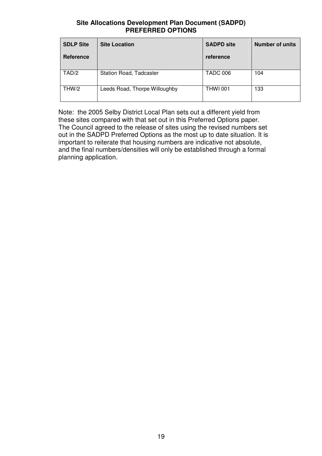| <b>SDLP Site</b> | <b>Site Location</b>          | <b>SADPD site</b> | <b>Number of units</b> |
|------------------|-------------------------------|-------------------|------------------------|
| Reference        |                               | reference         |                        |
| TAD/2            | Station Road, Tadcaster       | <b>TADC 006</b>   | 104                    |
| THW/2            | Leeds Road, Thorpe Willoughby | <b>THWI 001</b>   | 133                    |

Note: the 2005 Selby District Local Plan sets out a different yield from these sites compared with that set out in this Preferred Options paper. The Council agreed to the release of sites using the revised numbers set out in the SADPD Preferred Options as the most up to date situation. It is important to reiterate that housing numbers are indicative not absolute, and the final numbers/densities will only be established through a formal planning application.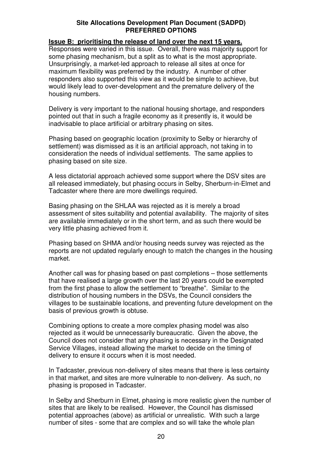### **Issue B: prioritising the release of land over the next 15 years.**

Responses were varied in this issue. Overall, there was majority support for some phasing mechanism, but a split as to what is the most appropriate. Unsurprisingly, a market-led approach to release all sites at once for maximum flexibility was preferred by the industry. A number of other responders also supported this view as it would be simple to achieve, but would likely lead to over-development and the premature delivery of the housing numbers.

Delivery is very important to the national housing shortage, and responders pointed out that in such a fragile economy as it presently is, it would be inadvisable to place artificial or arbitrary phasing on sites.

Phasing based on geographic location (proximity to Selby or hierarchy of settlement) was dismissed as it is an artificial approach, not taking in to consideration the needs of individual settlements. The same applies to phasing based on site size.

A less dictatorial approach achieved some support where the DSV sites are all released immediately, but phasing occurs in Selby, Sherburn-in-Elmet and Tadcaster where there are more dwellings required.

Basing phasing on the SHLAA was rejected as it is merely a broad assessment of sites suitability and potential availability. The majority of sites are available immediately or in the short term, and as such there would be very little phasing achieved from it.

Phasing based on SHMA and/or housing needs survey was rejected as the reports are not updated regularly enough to match the changes in the housing market.

Another call was for phasing based on past completions – those settlements that have realised a large growth over the last 20 years could be exempted from the first phase to allow the settlement to "breathe". Similar to the distribution of housing numbers in the DSVs, the Council considers the villages to be sustainable locations, and preventing future development on the basis of previous growth is obtuse.

Combining options to create a more complex phasing model was also rejected as it would be unnecessarily bureaucratic. Given the above, the Council does not consider that any phasing is necessary in the Designated Service Villages, instead allowing the market to decide on the timing of delivery to ensure it occurs when it is most needed.

In Tadcaster, previous non-delivery of sites means that there is less certainty in that market, and sites are more vulnerable to non-delivery. As such, no phasing is proposed in Tadcaster.

In Selby and Sherburn in Elmet, phasing is more realistic given the number of sites that are likely to be realised. However, the Council has dismissed potential approaches (above) as artificial or unrealistic. With such a large number of sites - some that are complex and so will take the whole plan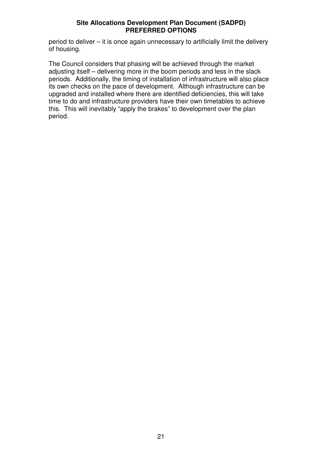period to deliver – it is once again unnecessary to artificially limit the delivery of housing.

The Council considers that phasing will be achieved through the market adjusting itself – delivering more in the boom periods and less in the slack periods. Additionally, the timing of installation of infrastructure will also place its own checks on the pace of development. Although infrastructure can be upgraded and installed where there are identified deficiencies, this will take time to do and infrastructure providers have their own timetables to achieve this. This will inevitably "apply the brakes" to development over the plan period.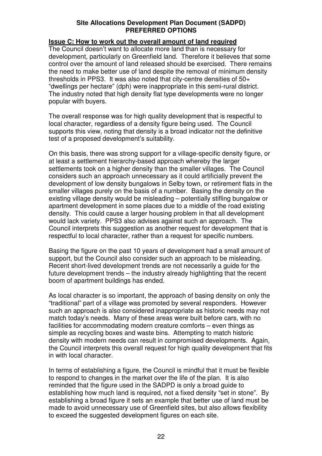### **Issue C: How to work out the overall amount of land required**

The Council doesn't want to allocate more land than is necessary for development, particularly on Greenfield land. Therefore it believes that some control over the amount of land released should be exercised. There remains the need to make better use of land despite the removal of minimum density thresholds in PPS3. It was also noted that city-centre densities of 50+ "dwellings per hectare" (dph) were inappropriate in this semi-rural district. The industry noted that high density flat type developments were no longer popular with buyers.

The overall response was for high quality development that is respectful to local character, regardless of a density figure being used. The Council supports this view, noting that density is a broad indicator not the definitive test of a proposed development's suitability.

On this basis, there was strong support for a village-specific density figure, or at least a settlement hierarchy-based approach whereby the larger settlements took on a higher density than the smaller villages. The Council considers such an approach unnecessary as it could artificially prevent the development of low density bungalows in Selby town, or retirement flats in the smaller villages purely on the basis of a number. Basing the density on the existing village density would be misleading – potentially stifling bungalow or apartment development in some places due to a middle of the road existing density. This could cause a larger housing problem in that all development would lack variety. PPS3 also advises against such an approach. The Council interprets this suggestion as another request for development that is respectful to local character, rather than a request for specific numbers.

Basing the figure on the past 10 years of development had a small amount of support, but the Council also consider such an approach to be misleading. Recent short-lived development trends are not necessarily a guide for the future development trends – the industry already highlighting that the recent boom of apartment buildings has ended.

As local character is so important, the approach of basing density on only the "traditional" part of a village was promoted by several responders. However such an approach is also considered inappropriate as historic needs may not match today's needs. Many of these areas were built before cars, with no facilities for accommodating modern creature comforts – even things as simple as recycling boxes and waste bins. Attempting to match historic density with modern needs can result in compromised developments. Again, the Council interprets this overall request for high quality development that fits in with local character.

In terms of establishing a figure, the Council is mindful that it must be flexible to respond to changes in the market over the life of the plan. It is also reminded that the figure used in the SADPD is only a broad guide to establishing how much land is required, not a fixed density "set in stone". By establishing a broad figure it sets an example that better use of land must be made to avoid unnecessary use of Greenfield sites, but also allows flexibility to exceed the suggested development figures on each site.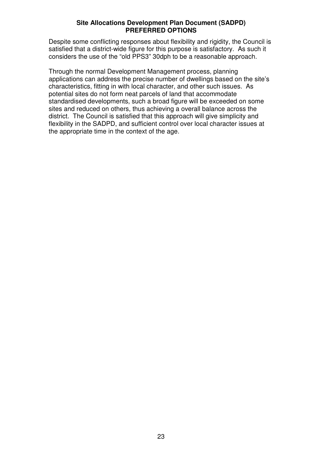Despite some conflicting responses about flexibility and rigidity, the Council is satisfied that a district-wide figure for this purpose is satisfactory. As such it considers the use of the "old PPS3" 30dph to be a reasonable approach.

Through the normal Development Management process, planning applications can address the precise number of dwellings based on the site's characteristics, fitting in with local character, and other such issues. As potential sites do not form neat parcels of land that accommodate standardised developments, such a broad figure will be exceeded on some sites and reduced on others, thus achieving a overall balance across the district. The Council is satisfied that this approach will give simplicity and flexibility in the SADPD, and sufficient control over local character issues at the appropriate time in the context of the age.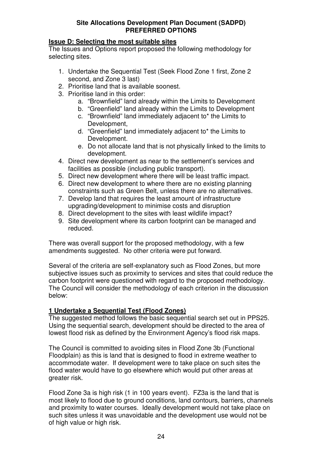### **Issue D: Selecting the most suitable sites**

The Issues and Options report proposed the following methodology for selecting sites.

- 1. Undertake the Sequential Test (Seek Flood Zone 1 first, Zone 2 second, and Zone 3 last)
- 2. Prioritise land that is available soonest.
- 3. Prioritise land in this order:
	- a. "Brownfield" land already within the Limits to Development
	- b. "Greenfield" land already within the Limits to Development
		- c. "Brownfield" land immediately adjacent to\* the Limits to Development,
	- d. "Greenfield" land immediately adjacent to\* the Limits to Development.
	- e. Do not allocate land that is not physically linked to the limits to development.
- 4. Direct new development as near to the settlement's services and facilities as possible (including public transport).
- 5. Direct new development where there will be least traffic impact.
- 6. Direct new development to where there are no existing planning constraints such as Green Belt, unless there are no alternatives.
- 7. Develop land that requires the least amount of infrastructure upgrading/development to minimise costs and disruption
- 8. Direct development to the sites with least wildlife impact?
- 9. Site development where its carbon footprint can be managed and reduced.

There was overall support for the proposed methodology, with a few amendments suggested. No other criteria were put forward.

Several of the criteria are self-explanatory such as Flood Zones, but more subjective issues such as proximity to services and sites that could reduce the carbon footprint were questioned with regard to the proposed methodology. The Council will consider the methodology of each criterion in the discussion below:

### **1 Undertake a Sequential Test (Flood Zones)**

The suggested method follows the basic sequential search set out in PPS25. Using the sequential search, development should be directed to the area of lowest flood risk as defined by the Environment Agency's flood risk maps.

The Council is committed to avoiding sites in Flood Zone 3b (Functional Floodplain) as this is land that is designed to flood in extreme weather to accommodate water. If development were to take place on such sites the flood water would have to go elsewhere which would put other areas at greater risk.

Flood Zone 3a is high risk (1 in 100 years event). FZ3a is the land that is most likely to flood due to ground conditions, land contours, barriers, channels and proximity to water courses. Ideally development would not take place on such sites unless it was unavoidable and the development use would not be of high value or high risk.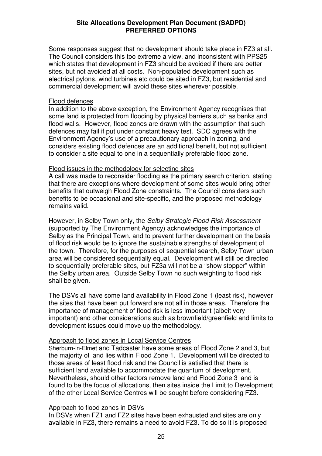Some responses suggest that no development should take place in FZ3 at all. The Council considers this too extreme a view, and inconsistent with PPS25 which states that development in FZ3 should be avoided if there are better sites, but not avoided at all costs. Non-populated development such as electrical pylons, wind turbines etc could be sited in FZ3, but residential and commercial development will avoid these sites wherever possible.

### Flood defences

In addition to the above exception, the Environment Agency recognises that some land is protected from flooding by physical barriers such as banks and flood walls. However, flood zones are drawn with the assumption that such defences may fail if put under constant heavy test. SDC agrees with the Environment Agency's use of a precautionary approach in zoning, and considers existing flood defences are an additional benefit, but not sufficient to consider a site equal to one in a sequentially preferable flood zone.

### Flood issues in the methodology for selecting sites

A call was made to reconsider flooding as the primary search criterion, stating that there are exceptions where development of some sites would bring other benefits that outweigh Flood Zone constraints. The Council considers such benefits to be occasional and site-specific, and the proposed methodology remains valid.

However, in Selby Town only, the *Selby Strategic Flood Risk Assessment* (supported by The Environment Agency) acknowledges the importance of Selby as the Principal Town, and to prevent further development on the basis of flood risk would be to ignore the sustainable strengths of development of the town. Therefore, for the purposes of sequential search, Selby Town urban area will be considered sequentially equal. Development will still be directed to sequentially-preferable sites, but FZ3a will not be a "show stopper" within the Selby urban area. Outside Selby Town no such weighting to flood risk shall be given.

The DSVs all have some land availability in Flood Zone 1 (least risk), however the sites that have been put forward are not all in those areas. Therefore the importance of management of flood risk is less important (albeit very important) and other considerations such as brownfield/greenfield and limits to development issues could move up the methodology.

### Approach to flood zones in Local Service Centres

Sherburn-in-Elmet and Tadcaster have some areas of Flood Zone 2 and 3, but the majority of land lies within Flood Zone 1. Development will be directed to those areas of least flood risk and the Council is satisfied that there is sufficient land available to accommodate the quantum of development. Nevertheless, should other factors remove land and Flood Zone 3 land is found to be the focus of allocations, then sites inside the Limit to Development of the other Local Service Centres will be sought before considering FZ3.

### Approach to flood zones in DSVs

In DSVs when FZ1 and FZ2 sites have been exhausted and sites are only available in FZ3, there remains a need to avoid FZ3. To do so it is proposed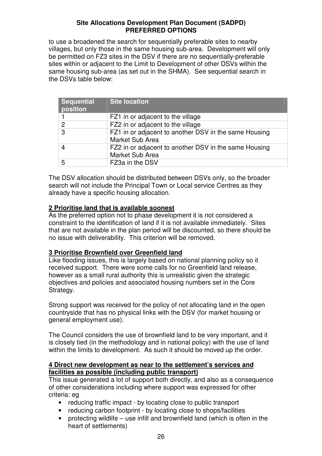to use a broadened the search for sequentially preferable sites to nearby villages, but only those in the same housing sub-area. Development will only be permitted on FZ3 sites in the DSV if there are no sequentially-preferable sites within or adjacent to the Limit to Development of other DSVs within the same housing sub-area (as set out in the SHMA). See sequential search in the DSVs table below:

| <b>Sequential</b><br>position | <b>Site location</b>                                                     |
|-------------------------------|--------------------------------------------------------------------------|
|                               | FZ1 in or adjacent to the village                                        |
| 2                             | FZ2 in or adjacent to the village                                        |
| 3                             | FZ1 in or adjacent to another DSV in the same Housing<br>Market Sub Area |
|                               | FZ2 in or adjacent to another DSV in the same Housing<br>Market Sub Area |
| 5                             | FZ3a in the DSV                                                          |

The DSV allocation should be distributed between DSVs only, so the broader search will not include the Principal Town or Local service Centres as they already have a specific housing allocation.

### **2 Prioritise land that is available soonest**

As the preferred option not to phase development it is not considered a constraint to the identification of land if it is not available immediately. Sites that are not available in the plan period will be discounted, so there should be no issue with deliverability. This criterion will be removed.

### **3 Prioritise Brownfield over Greenfield land**

Like flooding issues, this is largely based on national planning policy so it received support. There were some calls for no Greenfield land release, however as a small rural authority this is unrealistic given the strategic objectives and policies and associated housing numbers set in the Core Strategy.

Strong support was received for the policy of not allocating land in the open countryside that has no physical links with the DSV (for market housing or general employment use).

The Council considers the use of brownfield land to be very important, and it is closely tied (in the methodology and in national policy) with the use of land within the limits to development. As such it should be moved up the order.

### **4 Direct new development as near to the settlement's services and facilities as possible (including public transport)**

This issue generated a lot of support both directly, and also as a consequence of other considerations including where support was expressed for other criteria: eg

- reducing traffic impact by locating close to public transport
- reducing carbon footprint by locating close to shops/facilities
- protecting wildlife use infill and brownfield land (which is often in the heart of settlements)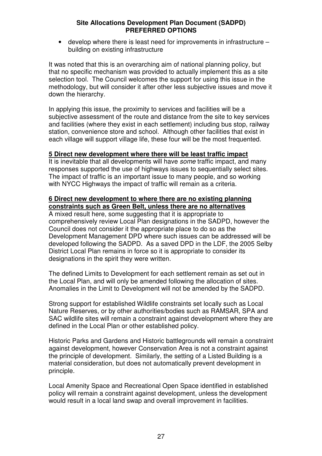• develop where there is least need for improvements in infrastructure – building on existing infrastructure

It was noted that this is an overarching aim of national planning policy, but that no specific mechanism was provided to actually implement this as a site selection tool. The Council welcomes the support for using this issue in the methodology, but will consider it after other less subjective issues and move it down the hierarchy.

In applying this issue, the proximity to services and facilities will be a subjective assessment of the route and distance from the site to key services and facilities (where they exist in each settlement) including bus stop, railway station, convenience store and school. Although other facilities that exist in each village will support village life, these four will be the most frequented.

### **5 Direct new development where there will be least traffic impact**

It is inevitable that all developments will have *some* traffic impact, and many responses supported the use of highways issues to sequentially select sites. The impact of traffic is an important issue to many people, and so working with NYCC Highways the impact of traffic will remain as a criteria.

### **6 Direct new development to where there are no existing planning constraints such as Green Belt, unless there are no alternatives**

A mixed result here, some suggesting that it is appropriate to comprehensively review Local Plan designations in the SADPD, however the Council does not consider it the appropriate place to do so as the Development Management DPD where such issues can be addressed will be developed following the SADPD. As a saved DPD in the LDF, the 2005 Selby District Local Plan remains in force so it is appropriate to consider its designations in the spirit they were written.

The defined Limits to Development for each settlement remain as set out in the Local Plan, and will only be amended following the allocation of sites. Anomalies in the Limit to Development will not be amended by the SADPD.

Strong support for established Wildlife constraints set locally such as Local Nature Reserves, or by other authorities/bodies such as RAMSAR, SPA and SAC wildlife sites will remain a constraint against development where they are defined in the Local Plan or other established policy.

Historic Parks and Gardens and Historic battlegrounds will remain a constraint against development, however Conservation Area is not a constraint against the principle of development. Similarly, the setting of a Listed Building is a material consideration, but does not automatically prevent development in principle.

Local Amenity Space and Recreational Open Space identified in established policy will remain a constraint against development, unless the development would result in a local land swap and overall improvement in facilities.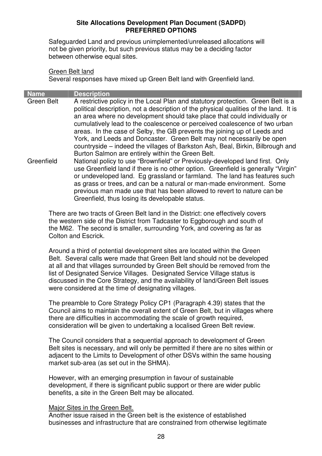Safeguarded Land and previous unimplemented/unreleased allocations will not be given priority, but such previous status may be a deciding factor between otherwise equal sites.

### Green Belt land

Several responses have mixed up Green Belt land with Greenfield land.

| Name       | <b>Description</b>                                                                                                                                                                                                                                                                                                                                                                                                                                                                                                                                                          |  |  |  |
|------------|-----------------------------------------------------------------------------------------------------------------------------------------------------------------------------------------------------------------------------------------------------------------------------------------------------------------------------------------------------------------------------------------------------------------------------------------------------------------------------------------------------------------------------------------------------------------------------|--|--|--|
| Green Belt | A restrictive policy in the Local Plan and statutory protection. Green Belt is a<br>political description, not a description of the physical qualities of the land. It is<br>an area where no development should take place that could individually or<br>cumulatively lead to the coalescence or perceived coalescence of two urban<br>areas. In the case of Selby, the GB prevents the joining up of Leeds and<br>York, and Leeds and Doncaster. Green Belt may not necessarily be open<br>countryside – indeed the villages of Barkston Ash, Beal, Birkin, Bilbrough and |  |  |  |
| Greenfield | Burton Salmon are entirely within the Green Belt.<br>National policy to use "Brownfield" or Previously-developed land first. Only<br>use Greenfield land if there is no other option. Greenfield is generally "Virgin"<br>or undeveloped land. Eg grassland or farmland. The land has features such<br>as grass or trees, and can be a natural or man-made environment. Some<br>previous man made use that has been allowed to revert to nature can be<br>Greenfield, thus losing its developable status.                                                                   |  |  |  |

There are two tracts of Green Belt land in the District: one effectively covers the western side of the District from Tadcaster to Eggborough and south of the M62. The second is smaller, surrounding York, and covering as far as Colton and Escrick.

Around a third of potential development sites are located within the Green Belt. Several calls were made that Green Belt land should not be developed at all and that villages surrounded by Green Belt should be removed from the list of Designated Service Villages. Designated Service Village status is discussed in the Core Strategy, and the availability of land/Green Belt issues were considered at the time of designating villages.

The preamble to Core Strategy Policy CP1 (Paragraph 4.39) states that the Council aims to maintain the overall extent of Green Belt, but in villages where there are difficulties in accommodating the scale of growth required, consideration will be given to undertaking a localised Green Belt review.

The Council considers that a sequential approach to development of Green Belt sites is necessary, and will only be permitted if there are no sites within or adjacent to the Limits to Development of other DSVs within the same housing market sub-area (as set out in the SHMA).

However, with an emerging presumption in favour of sustainable development, if there is significant public support or there are wider public benefits, a site in the Green Belt may be allocated.

### Major Sites in the Green Belt.

Another issue raised in the Green belt is the existence of established businesses and infrastructure that are constrained from otherwise legitimate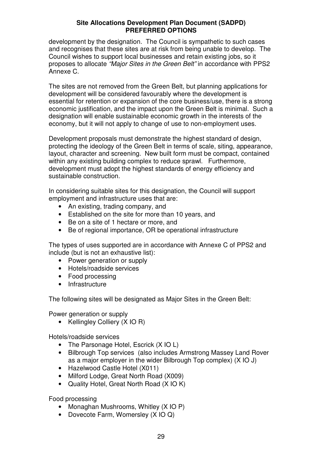development by the designation. The Council is sympathetic to such cases and recognises that these sites are at risk from being unable to develop. The Council wishes to support local businesses and retain existing jobs, so it proposes to allocate *"Major Sites in the Green Belt"* in accordance with PPS2 Annexe C.

The sites are not removed from the Green Belt, but planning applications for development will be considered favourably where the development is essential for retention or expansion of the core business/use, there is a strong economic justification, and the impact upon the Green Belt is minimal. Such a designation will enable sustainable economic growth in the interests of the economy, but it will not apply to change of use to non-employment uses.

Development proposals must demonstrate the highest standard of design, protecting the ideology of the Green Belt in terms of scale, siting, appearance, layout, character and screening. New built form must be compact, contained within any existing building complex to reduce sprawl. Furthermore, development must adopt the highest standards of energy efficiency and sustainable construction.

In considering suitable sites for this designation, the Council will support employment and infrastructure uses that are:

- An existing, trading company, and
- Established on the site for more than 10 years, and
- Be on a site of 1 hectare or more, and
- Be of regional importance, OR be operational infrastructure

The types of uses supported are in accordance with Annexe C of PPS2 and include (but is not an exhaustive list):

- Power generation or supply
- Hotels/roadside services
- Food processing
- Infrastructure

The following sites will be designated as Major Sites in the Green Belt:

Power generation or supply

• Kellingley Colliery (X IO R)

Hotels/roadside services

- The Parsonage Hotel, Escrick (X IO L)
- Bilbrough Top services (also includes Armstrong Massey Land Rover as a major employer in the wider Bilbrough Top complex) (X IO J)
- Hazelwood Castle Hotel (X011)
- Milford Lodge, Great North Road (X009)
- Quality Hotel, Great North Road (X IO K)

Food processing

- Monaghan Mushrooms, Whitley (XIO P)
- Dovecote Farm, Womersley (XIO Q)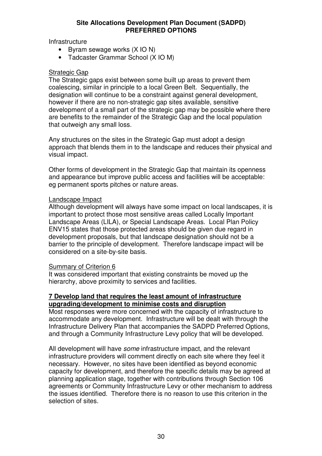**Infrastructure** 

- Byram sewage works (X IO N)
- Tadcaster Grammar School (X IO M)

### Strategic Gap

The Strategic gaps exist between some built up areas to prevent them coalescing, similar in principle to a local Green Belt. Sequentially, the designation will continue to be a constraint against general development, however if there are no non-strategic gap sites available, sensitive development of a small part of the strategic gap may be possible where there are benefits to the remainder of the Strategic Gap and the local population that outweigh any small loss.

Any structures on the sites in the Strategic Gap must adopt a design approach that blends them in to the landscape and reduces their physical and visual impact.

Other forms of development in the Strategic Gap that maintain its openness and appearance but improve public access and facilities will be acceptable: eg permanent sports pitches or nature areas.

### Landscape Impact

Although development will always have some impact on local landscapes, it is important to protect those most sensitive areas called Locally Important Landscape Areas (LILA), or Special Landscape Areas. Local Plan Policy ENV15 states that those protected areas should be given due regard in development proposals, but that landscape designation should not be a barrier to the principle of development. Therefore landscape impact will be considered on a site-by-site basis.

### Summary of Criterion 6

It was considered important that existing constraints be moved up the hierarchy, above proximity to services and facilities.

### **7 Develop land that requires the least amount of infrastructure upgrading/development to minimise costs and disruption**

Most responses were more concerned with the capacity of infrastructure to accommodate any development. Infrastructure will be dealt with through the Infrastructure Delivery Plan that accompanies the SADPD Preferred Options, and through a Community Infrastructure Levy policy that will be developed.

All development will have *some* infrastructure impact, and the relevant infrastructure providers will comment directly on each site where they feel it necessary. However, no sites have been identified as beyond economic capacity for development, and therefore the specific details may be agreed at planning application stage, together with contributions through Section 106 agreements or Community Infrastructure Levy or other mechanism to address the issues identified. Therefore there is no reason to use this criterion in the selection of sites.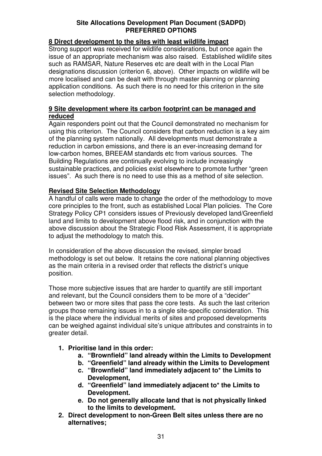### **8 Direct development to the sites with least wildlife impact**

Strong support was received for wildlife considerations, but once again the issue of an appropriate mechanism was also raised. Established wildlife sites such as RAMSAR, Nature Reserves etc are dealt with in the Local Plan designations discussion (criterion 6, above). Other impacts on wildlife will be more localised and can be dealt with through master planning or planning application conditions. As such there is no need for this criterion in the site selection methodology.

### **9 Site development where its carbon footprint can be managed and reduced**

Again responders point out that the Council demonstrated no mechanism for using this criterion. The Council considers that carbon reduction is a key aim of the planning system nationally. All developments must demonstrate a reduction in carbon emissions, and there is an ever-increasing demand for low-carbon homes, BREEAM standards etc from various sources. The Building Regulations are continually evolving to include increasingly sustainable practices, and policies exist elsewhere to promote further "green issues". As such there is no need to use this as a method of site selection.

### **Revised Site Selection Methodology**

A handful of calls were made to change the order of the methodology to move core principles to the front, such as established Local Plan policies. The Core Strategy Policy CP1 considers issues of Previously developed land/Greenfield land and limits to development above flood risk, and in conjunction with the above discussion about the Strategic Flood Risk Assessment, it is appropriate to adjust the methodology to match this.

In consideration of the above discussion the revised, simpler broad methodology is set out below. It retains the core national planning objectives as the main criteria in a revised order that reflects the district's unique position.

Those more subjective issues that are harder to quantify are still important and relevant, but the Council considers them to be more of a "decider" between two or more sites that pass the core tests. As such the last criterion groups those remaining issues in to a single site-specific consideration. This is the place where the individual merits of sites and proposed developments can be weighed against individual site's unique attributes and constraints in to greater detail.

### **1. Prioritise land in this order:**

- **a. "Brownfield" land already within the Limits to Development**
- **b. "Greenfield" land already within the Limits to Development**
- **c. "Brownfield" land immediately adjacent to\* the Limits to Development,**
- **d. "Greenfield" land immediately adjacent to\* the Limits to Development.**
- **e. Do not generally allocate land that is not physically linked to the limits to development.**
- **2. Direct development to non-Green Belt sites unless there are no alternatives;**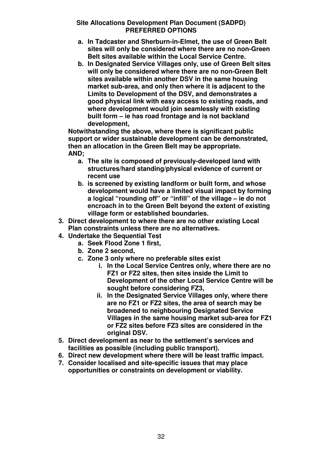- **a. In Tadcaster and Sherburn-in-Elmet, the use of Green Belt sites will only be considered where there are no non-Green Belt sites available within the Local Service Centre.**
- **b. In Designated Service Villages only, use of Green Belt sites will only be considered where there are no non-Green Belt sites available within another DSV in the same housing market sub-area, and only then where it is adjacent to the Limits to Development of the DSV, and demonstrates a good physical link with easy access to existing roads, and where development would join seamlessly with existing built form – ie has road frontage and is not backland development,**

**Notwithstanding the above, where there is significant public support or wider sustainable development can be demonstrated, then an allocation in the Green Belt may be appropriate. AND;**

- **a. The site is composed of previously-developed land with structures/hard standing/physical evidence of current or recent use**
- **b. is screened by existing landform or built form, and whose development would have a limited visual impact by forming a logical "rounding off" or "infill" of the village – ie do not encroach in to the Green Belt beyond the extent of existing village form or established boundaries.**
- **3. Direct development to where there are no other existing Local Plan constraints unless there are no alternatives.**
- **4. Undertake the Sequential Test**
	- **a. Seek Flood Zone 1 first,**
	- **b. Zone 2 second,**
	- **c. Zone 3 only where no preferable sites exist**
		- **i. In the Local Service Centres only, where there are no FZ1 or FZ2 sites, then sites inside the Limit to Development of the other Local Service Centre will be sought before considering FZ3,**
		- **ii. In the Designated Service Villages only, where there are no FZ1 or FZ2 sites, the area of search may be broadened to neighbouring Designated Service Villages in the same housing market sub-area for FZ1 or FZ2 sites before FZ3 sites are considered in the original DSV.**
- **5. Direct development as near to the settlement's services and facilities as possible (including public transport).**
- **6. Direct new development where there will be least traffic impact.**
- **7. Consider localised and site-specific issues that may place opportunities or constraints on development or viability.**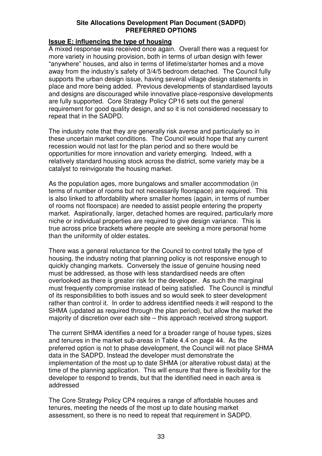### **Issue E: influencing the type of housing**

A mixed response was received once again. Overall there was a request for more variety in housing provision, both in terms of urban design with fewer "anywhere" houses, and also in terms of lifetime/starter homes and a move away from the industry's safety of 3/4/5 bedroom detached. The Council fully supports the urban design issue, having several village design statements in place and more being added. Previous developments of standardised layouts and designs are discouraged while innovative place-responsive developments are fully supported. Core Strategy Policy CP16 sets out the general requirement for good quality design, and so it is not considered necessary to repeat that in the SADPD.

The industry note that they are generally risk averse and particularly so in these uncertain market conditions. The Council would hope that any current recession would not last for the plan period and so there would be opportunities for more innovation and variety emerging. Indeed, with a relatively standard housing stock across the district, some variety may be a catalyst to reinvigorate the housing market.

As the population ages, more bungalows and smaller accommodation (in terms of number of rooms but not necessarily floorspace) are required. This is also linked to affordability where smaller homes (again, in terms of number of rooms not floorspace) are needed to assist people entering the property market. Aspirationally, larger, detached homes are required, particularly more niche or individual properties are required to give design variance. This is true across price brackets where people are seeking a more personal home than the uniformity of older estates.

There was a general reluctance for the Council to control totally the type of housing, the industry noting that planning policy is not responsive enough to quickly changing markets. Conversely the issue of genuine housing need must be addressed, as those with less standardised needs are often overlooked as there is greater risk for the developer. As such the marginal must frequently compromise instead of being satisfied. The Council is mindful of its responsibilities to both issues and so would seek to steer development rather than control it. In order to address identified needs it will respond to the SHMA (updated as required through the plan period), but allow the market the majority of discretion over each site – this approach received strong support.

The current SHMA identifies a need for a broader range of house types, sizes and tenures in the market sub-areas in Table 4.4 on page 44. As the preferred option is not to phase development, the Council will not place SHMA data in the SADPD. Instead the developer must demonstrate the implementation of the most up to date SHMA (or alterative robust data) at the time of the planning application. This will ensure that there is flexibility for the developer to respond to trends, but that the identified need in each area is addressed

The Core Strategy Policy CP4 requires a range of affordable houses and tenures, meeting the needs of the most up to date housing market assessment, so there is no need to repeat that requirement in SADPD.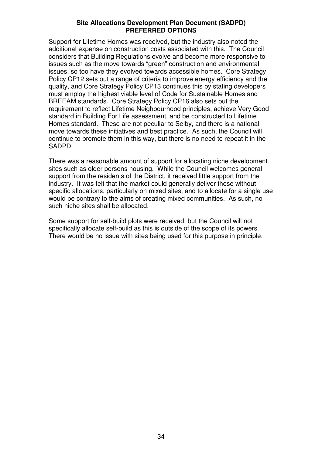Support for Lifetime Homes was received, but the industry also noted the additional expense on construction costs associated with this. The Council considers that Building Regulations evolve and become more responsive to issues such as the move towards "green" construction and environmental issues, so too have they evolved towards accessible homes. Core Strategy Policy CP12 sets out a range of criteria to improve energy efficiency and the quality, and Core Strategy Policy CP13 continues this by stating developers must employ the highest viable level of Code for Sustainable Homes and BREEAM standards. Core Strategy Policy CP16 also sets out the requirement to reflect Lifetime Neighbourhood principles, achieve Very Good standard in Building For Life assessment, and be constructed to Lifetime Homes standard. These are not peculiar to Selby, and there is a national move towards these initiatives and best practice. As such, the Council will continue to promote them in this way, but there is no need to repeat it in the SADPD.

There was a reasonable amount of support for allocating niche development sites such as older persons housing. While the Council welcomes general support from the residents of the District, it received little support from the industry. It was felt that the market could generally deliver these without specific allocations, particularly on mixed sites, and to allocate for a single use would be contrary to the aims of creating mixed communities. As such, no such niche sites shall be allocated.

Some support for self-build plots were received, but the Council will not specifically allocate self-build as this is outside of the scope of its powers. There would be no issue with sites being used for this purpose in principle.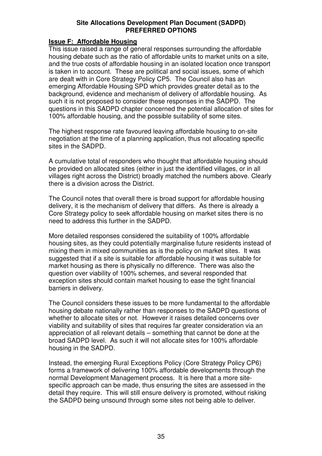### **Issue F: Affordable Housing**

This issue raised a range of general responses surrounding the affordable housing debate such as the ratio of affordable units to market units on a site, and the true costs of affordable housing in an isolated location once transport is taken in to account. These are political and social issues, some of which are dealt with in Core Strategy Policy CP5. The Council also has an emerging Affordable Housing SPD which provides greater detail as to the background, evidence and mechanism of delivery of affordable housing. As such it is not proposed to consider these responses in the SADPD. The questions in this SADPD chapter concerned the potential allocation of sites for 100% affordable housing, and the possible suitability of some sites.

The highest response rate favoured leaving affordable housing to on-site negotiation at the time of a planning application, thus not allocating specific sites in the SADPD.

A cumulative total of responders who thought that affordable housing should be provided on allocated sites (either in just the identified villages, or in all villages right across the District) broadly matched the numbers above. Clearly there is a division across the District.

The Council notes that overall there is broad support for affordable housing delivery, it is the mechanism of delivery that differs. As there is already a Core Strategy policy to seek affordable housing on market sites there is no need to address this further in the SADPD.

More detailed responses considered the suitability of 100% affordable housing sites, as they could potentially marginalise future residents instead of mixing them in mixed communities as is the policy on market sites. It was suggested that if a site is suitable for affordable housing it was suitable for market housing as there is physically no difference. There was also the question over viability of 100% schemes, and several responded that exception sites should contain market housing to ease the tight financial barriers in delivery.

The Council considers these issues to be more fundamental to the affordable housing debate nationally rather than responses to the SADPD questions of whether to allocate sites or not. However it raises detailed concerns over viability and suitability of sites that requires far greater consideration via an appreciation of all relevant details – something that cannot be done at the broad SADPD level. As such it will not allocate sites for 100% affordable housing in the SADPD.

Instead, the emerging Rural Exceptions Policy (Core Strategy Policy CP6) forms a framework of delivering 100% affordable developments through the normal Development Management process. It is here that a more sitespecific approach can be made, thus ensuring the sites are assessed in the detail they require. This will still ensure delivery is promoted, without risking the SADPD being unsound through some sites not being able to deliver.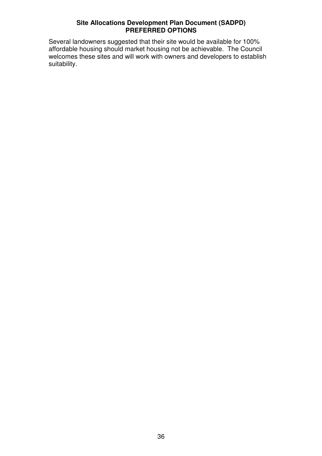Several landowners suggested that their site would be available for 100% affordable housing should market housing not be achievable. The Council welcomes these sites and will work with owners and developers to establish suitability.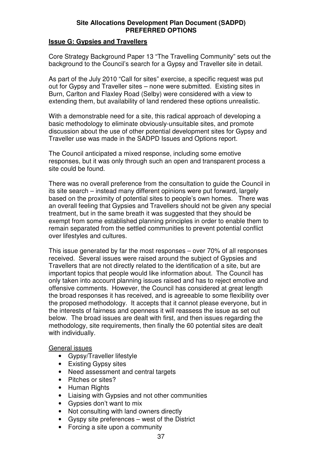### **Issue G: Gypsies and Travellers**

Core Strategy Background Paper 13 "The Travelling Community" sets out the background to the Council's search for a Gypsy and Traveller site in detail.

As part of the July 2010 "Call for sites" exercise, a specific request was put out for Gypsy and Traveller sites – none were submitted. Existing sites in Burn, Carlton and Flaxley Road (Selby) were considered with a view to extending them, but availability of land rendered these options unrealistic.

With a demonstrable need for a site, this radical approach of developing a basic methodology to eliminate obviously-unsuitable sites, and promote discussion about the use of other potential development sites for Gypsy and Traveller use was made in the SADPD Issues and Options report.

The Council anticipated a mixed response, including some emotive responses, but it was only through such an open and transparent process a site could be found.

There was no overall preference from the consultation to guide the Council in its site search – instead many different opinions were put forward, largely based on the proximity of potential sites to people's own homes. There was an overall feeling that Gypsies and Travellers should not be given any special treatment, but in the same breath it was suggested that they should be exempt from some established planning principles in order to enable them to remain separated from the settled communities to prevent potential conflict over lifestyles and cultures.

This issue generated by far the most responses – over 70% of all responses received. Several issues were raised around the subject of Gypsies and Travellers that are not directly related to the identification of a site, but are important topics that people would like information about. The Council has only taken into account planning issues raised and has to reject emotive and offensive comments. However, the Council has considered at great length the broad responses it has received, and is agreeable to some flexibility over the proposed methodology. It accepts that it cannot please everyone, but in the interests of fairness and openness it will reassess the issue as set out below. The broad issues are dealt with first, and then issues regarding the methodology, site requirements, then finally the 60 potential sites are dealt with individually.

### General issues

- Gypsy/Traveller lifestyle
- Existing Gypsy sites
- Need assessment and central targets
- Pitches or sites?
- Human Rights
- Liaising with Gypsies and not other communities
- Gypsies don't want to mix
- Not consulting with land owners directly
- Gyspy site preferences west of the District
- Forcing a site upon a community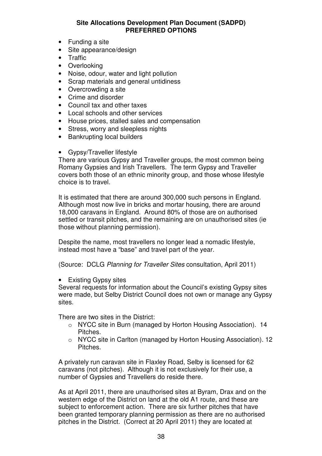- Funding a site
- Site appearance/design
- **Traffic**
- Overlooking
- Noise, odour, water and light pollution
- Scrap materials and general untidiness
- Overcrowding a site
- Crime and disorder
- Council tax and other taxes
- Local schools and other services
- House prices, stalled sales and compensation
- Stress, worry and sleepless nights
- Bankrupting local builders
- Gypsy/Traveller lifestyle

There are various Gypsy and Traveller groups, the most common being Romany Gypsies and Irish Travellers. The term Gypsy and Traveller covers both those of an ethnic minority group, and those whose lifestyle choice is to travel.

It is estimated that there are around 300,000 such persons in England. Although most now live in bricks and mortar housing, there are around 18,000 caravans in England. Around 80% of those are on authorised settled or transit pitches, and the remaining are on unauthorised sites (ie those without planning permission).

Despite the name, most travellers no longer lead a nomadic lifestyle, instead most have a "base" and travel part of the year.

(Source: DCLG *Planning for Traveller Sites* consultation, April 2011)

• Existing Gypsy sites

Several requests for information about the Council's existing Gypsy sites were made, but Selby District Council does not own or manage any Gypsy sites.

There are two sites in the District:

- o NYCC site in Burn (managed by Horton Housing Association). 14 Pitches.
- o NYCC site in Carlton (managed by Horton Housing Association). 12 Pitches.

A privately run caravan site in Flaxley Road, Selby is licensed for 62 caravans (not pitches). Although it is not exclusively for their use, a number of Gypsies and Travellers do reside there.

As at April 2011, there are unauthorised sites at Byram, Drax and on the western edge of the District on land at the old A1 route, and these are subject to enforcement action. There are six further pitches that have been granted temporary planning permission as there are no authorised pitches in the District. (Correct at 20 April 2011) they are located at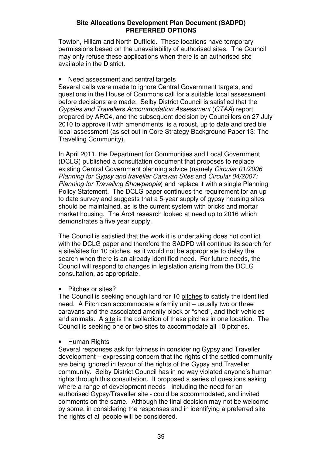Towton, Hillam and North Duffield. These locations have temporary permissions based on the unavailability of authorised sites. The Council may only refuse these applications when there is an authorised site available in the District.

### Need assessment and central targets

Several calls were made to ignore Central Government targets, and questions in the House of Commons call for a suitable local assessment before decisions are made. Selby District Council is satisfied that the *Gypsies and Travellers Accommodation Assessment* (*GTAA*) report prepared by ARC4, and the subsequent decision by Councillors on 27 July 2010 to approve it with amendments, is a robust, up to date and credible local assessment (as set out in Core Strategy Background Paper 13: The Travelling Community).

In April 2011, the Department for Communities and Local Government (DCLG) published a consultation document that proposes to replace existing Central Government planning advice (namely *Circular 01/2006 Planning for Gypsy and traveller Caravan Sites* and *Circular 04/2007: Planning for Travelling Showpeople*) and replace it with a single Planning Policy Statement. The DCLG paper continues the requirement for an up to date survey and suggests that a 5-year supply of gypsy housing sites should be maintained, as is the current system with bricks and mortar market housing. The Arc4 research looked at need up to 2016 which demonstrates a five year supply.

The Council is satisfied that the work it is undertaking does not conflict with the DCLG paper and therefore the SADPD will continue its search for a site/sites for 10 pitches, as it would not be appropriate to delay the search when there is an already identified need. For future needs, the Council will respond to changes in legislation arising from the DCLG consultation, as appropriate.

Pitches or sites?

The Council is seeking enough land for 10 pitches to satisfy the identified need. A Pitch can accommodate a family unit – usually two or three caravans and the associated amenity block or "shed", and their vehicles and animals. A site is the collection of these pitches in one location. The Council is seeking one or two sites to accommodate all 10 pitches.

### • Human Rights

Several responses ask for fairness in considering Gypsy and Traveller development – expressing concern that the rights of the settled community are being ignored in favour of the rights of the Gypsy and Traveller community. Selby District Council has in no way violated anyone's human rights through this consultation. It proposed a series of questions asking where a range of development needs - including the need for an authorised Gypsy/Traveller site - could be accommodated, and invited comments on the same. Although the final decision may not be welcome by some, in considering the responses and in identifying a preferred site the rights of all people will be considered.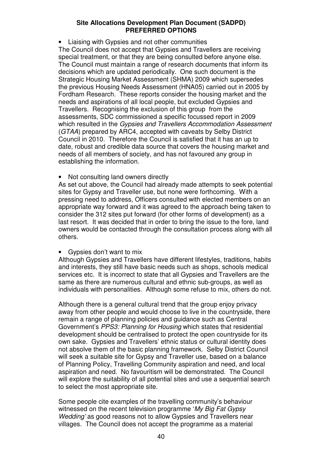• Liaising with Gypsies and not other communities The Council does not accept that Gypsies and Travellers are receiving special treatment, or that they are being consulted before anyone else. The Council must maintain a range of research documents that inform its decisions which are updated periodically. One such document is the Strategic Housing Market Assessment (SHMA) 2009 which supersedes the previous Housing Needs Assessment (HNA05) carried out in 2005 by Fordham Research. These reports consider the housing market and the needs and aspirations of all local people, but excluded Gypsies and Travellers. Recognising the exclusion of this group from the assessments, SDC commissioned a specific focussed report in 2009 which resulted in the *Gypsies and Travellers Accommodation Assessment* (*GTAA*) prepared by ARC4, accepted with caveats by Selby District Council in 2010. Therefore the Council is satisfied that it has an up to date, robust and credible data source that covers the housing market and needs of all members of society, and has not favoured any group in establishing the information.

Not consulting land owners directly

As set out above, the Council had already made attempts to seek potential sites for Gypsy and Traveller use, but none were forthcoming. With a pressing need to address, Officers consulted with elected members on an appropriate way forward and it was agreed to the approach being taken to consider the 312 sites put forward (for other forms of development) as a last resort. It was decided that in order to bring the issue to the fore, land owners would be contacted through the consultation process along with all others.

• Gypsies don't want to mix

Although Gypsies and Travellers have different lifestyles, traditions, habits and interests, they still have basic needs such as shops, schools medical services etc. It is incorrect to state that all Gypsies and Travellers are the same as there are numerous cultural and ethnic sub-groups, as well as individuals with personalities. Although some refuse to mix, others do not.

Although there is a general cultural trend that the group enjoy privacy away from other people and would choose to live in the countryside, there remain a range of planning policies and guidance such as Central Government's *PPS3: Planning for Housing* which states that residential development should be centralised to protect the open countryside for its own sake. Gypsies and Travellers' ethnic status or cultural identity does not absolve them of the basic planning framework. Selby District Council will seek a suitable site for Gypsy and Traveller use, based on a balance of Planning Policy, Travelling Community aspiration and need, and local aspiration and need. No favouritism will be demonstrated. The Council will explore the suitability of all potential sites and use a sequential search to select the most appropriate site.

Some people cite examples of the travelling community's behaviour witnessed on the recent television programme '*My Big Fat Gypsy Wedding'* as good reasons not to allow Gypsies and Travellers near villages. The Council does not accept the programme as a material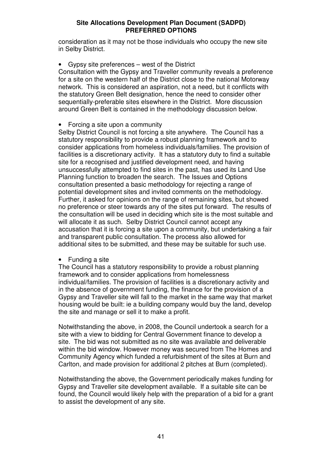consideration as it may not be those individuals who occupy the new site in Selby District.

• Gypsy site preferences – west of the District

Consultation with the Gypsy and Traveller community reveals a preference for a site on the western half of the District close to the national Motorway network. This is considered an aspiration, not a need, but it conflicts with the statutory Green Belt designation, hence the need to consider other sequentially-preferable sites elsewhere in the District. More discussion around Green Belt is contained in the methodology discussion below.

### • Forcing a site upon a community

Selby District Council is not forcing a site anywhere. The Council has a statutory responsibility to provide a robust planning framework and to consider applications from homeless individuals/families. The provision of facilities is a discretionary activity. It has a statutory duty to find a suitable site for a recognised and justified development need, and having unsuccessfully attempted to find sites in the past, has used its Land Use Planning function to broaden the search. The Issues and Options consultation presented a basic methodology for rejecting a range of potential development sites and invited comments on the methodology. Further, it asked for opinions on the range of remaining sites, but showed no preference or steer towards any of the sites put forward. The results of the consultation will be used in deciding which site is the most suitable and will allocate it as such. Selby District Council cannot accept any accusation that it is forcing a site upon a community, but undertaking a fair and transparent public consultation. The process also allowed for additional sites to be submitted, and these may be suitable for such use.

### • Funding a site

The Council has a statutory responsibility to provide a robust planning framework and to consider applications from homelessness individual/families. The provision of facilities is a discretionary activity and in the absence of government funding, the finance for the provision of a Gypsy and Traveller site will fall to the market in the same way that market housing would be built: ie a building company would buy the land, develop the site and manage or sell it to make a profit.

Notwithstanding the above, in 2008, the Council undertook a search for a site with a view to bidding for Central Government finance to develop a site. The bid was not submitted as no site was available and deliverable within the bid window. However money was secured from The Homes and Community Agency which funded a refurbishment of the sites at Burn and Carlton, and made provision for additional 2 pitches at Burn (completed).

Notwithstanding the above, the Government periodically makes funding for Gypsy and Traveller site development available. If a suitable site can be found, the Council would likely help with the preparation of a bid for a grant to assist the development of any site.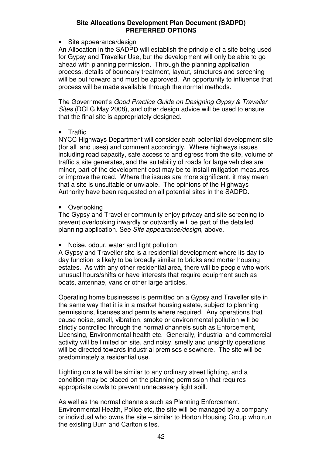• Site appearance/design

An Allocation in the SADPD will establish the principle of a site being used for Gypsy and Traveller Use, but the development will only be able to go ahead with planning permission. Through the planning application process, details of boundary treatment, layout, structures and screening will be put forward and must be approved. An opportunity to influence that process will be made available through the normal methods.

The Government's *Good Practice Guide on Designing Gypsy & Traveller Sites* (DCLG May 2008), and other design advice will be used to ensure that the final site is appropriately designed.

### • Traffic

NYCC Highways Department will consider each potential development site (for all land uses) and comment accordingly. Where highways issues including road capacity, safe access to and egress from the site, volume of traffic a site generates, and the suitability of roads for large vehicles are minor, part of the development cost may be to install mitigation measures or improve the road. Where the issues are more significant, it may mean that a site is unsuitable or unviable. The opinions of the Highways Authority have been requested on all potential sites in the SADPD.

• Overlooking

The Gypsy and Traveller community enjoy privacy and site screening to prevent overlooking inwardly or outwardly will be part of the detailed planning application. See *Site appearance/design*, above.

• Noise, odour, water and light pollution

A Gypsy and Traveller site is a residential development where its day to day function is likely to be broadly similar to bricks and mortar housing estates. As with any other residential area, there will be people who work unusual hours/shifts or have interests that require equipment such as boats, antennae, vans or other large articles.

Operating home businesses is permitted on a Gypsy and Traveller site in the same way that it is in a market housing estate, subject to planning permissions, licenses and permits where required. Any operations that cause noise, smell, vibration, smoke or environmental pollution will be strictly controlled through the normal channels such as Enforcement, Licensing, Environmental health etc. Generally, industrial and commercial activity will be limited on site, and noisy, smelly and unsightly operations will be directed towards industrial premises elsewhere. The site will be predominately a residential use.

Lighting on site will be similar to any ordinary street lighting, and a condition may be placed on the planning permission that requires appropriate cowls to prevent unnecessary light spill.

As well as the normal channels such as Planning Enforcement, Environmental Health, Police etc, the site will be managed by a company or individual who owns the site – similar to Horton Housing Group who run the existing Burn and Carlton sites.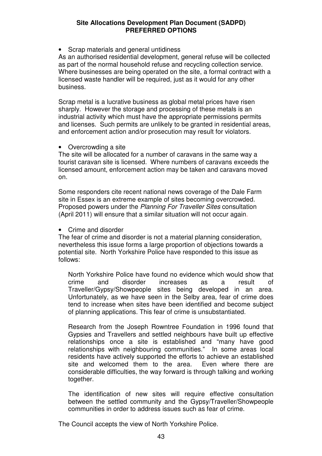• Scrap materials and general untidiness

As an authorised residential development, general refuse will be collected as part of the normal household refuse and recycling collection service. Where businesses are being operated on the site, a formal contract with a licensed waste handler will be required, just as it would for any other business.

Scrap metal is a lucrative business as global metal prices have risen sharply. However the storage and processing of these metals is an industrial activity which must have the appropriate permissions permits and licenses. Such permits are unlikely to be granted in residential areas, and enforcement action and/or prosecution may result for violators.

### • Overcrowding a site

The site will be allocated for a number of caravans in the same way a tourist caravan site is licensed. Where numbers of caravans exceeds the licensed amount, enforcement action may be taken and caravans moved on.

Some responders cite recent national news coverage of the Dale Farm site in Essex is an extreme example of sites becoming overcrowded. Proposed powers under the *Planning For Traveller Sites* consultation (April 2011) will ensure that a similar situation will not occur again.

• Crime and disorder

The fear of crime and disorder is not a material planning consideration, nevertheless this issue forms a large proportion of objections towards a potential site. North Yorkshire Police have responded to this issue as follows:

North Yorkshire Police have found no evidence which would show that crime and disorder increases as a result of Traveller/Gypsy/Showpeople sites being developed in an area. Unfortunately, as we have seen in the Selby area, fear of crime does tend to increase when sites have been identified and become subject of planning applications. This fear of crime is unsubstantiated.

Research from the Joseph Rowntree Foundation in 1996 found that Gypsies and Travellers and settled neighbours have built up effective relationships once a site is established and "many have good relationships with neighbouring communities." In some areas local residents have actively supported the efforts to achieve an established site and welcomed them to the area. Even where there are considerable difficulties, the way forward is through talking and working together.

The identification of new sites will require effective consultation between the settled community and the Gypsy/Traveller/Showpeople communities in order to address issues such as fear of crime.

The Council accepts the view of North Yorkshire Police.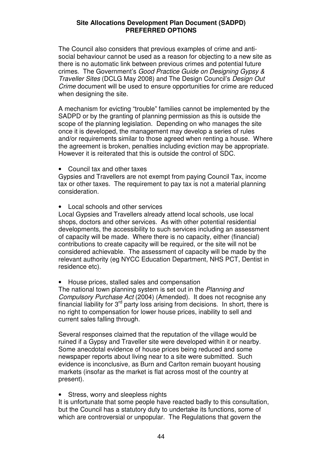The Council also considers that previous examples of crime and antisocial behaviour cannot be used as a reason for objecting to a new site as there is no automatic link between previous crimes and potential future crimes. The Government's *Good Practice Guide on Designing Gypsy & Traveller Sites* (DCLG May 2008) and The Design Council's *Design Out Crime* document will be used to ensure opportunities for crime are reduced when designing the site.

A mechanism for evicting "trouble" families cannot be implemented by the SADPD or by the granting of planning permission as this is outside the scope of the planning legislation. Depending on who manages the site once it is developed, the management may develop a series of rules and/or requirements similar to those agreed when renting a house. Where the agreement is broken, penalties including eviction may be appropriate. However it is reiterated that this is outside the control of SDC.

• Council tax and other taxes

Gypsies and Travellers are not exempt from paying Council Tax, income tax or other taxes. The requirement to pay tax is not a material planning consideration.

• Local schools and other services

Local Gypsies and Travellers already attend local schools, use local shops, doctors and other services. As with other potential residential developments, the accessibility to such services including an assessment of capacity will be made. Where there is no capacity, either (financial) contributions to create capacity will be required, or the site will not be considered achievable. The assessment of capacity will be made by the relevant authority (eg NYCC Education Department, NHS PCT, Dentist in residence etc).

• House prices, stalled sales and compensation

The national town planning system is set out in the *Planning and Compulsory Purchase Act* (2004) (Amended). It does not recognise any financial liability for 3<sup>rd</sup> party loss arising from decisions. In short, there is no right to compensation for lower house prices, inability to sell and current sales falling through.

Several responses claimed that the reputation of the village would be ruined if a Gypsy and Traveller site were developed within it or nearby. Some anecdotal evidence of house prices being reduced and some newspaper reports about living near to a site were submitted. Such evidence is inconclusive, as Burn and Carlton remain buoyant housing markets (insofar as the market is flat across most of the country at present).

• Stress, worry and sleepless nights

It is unfortunate that some people have reacted badly to this consultation, but the Council has a statutory duty to undertake its functions, some of which are controversial or unpopular. The Regulations that govern the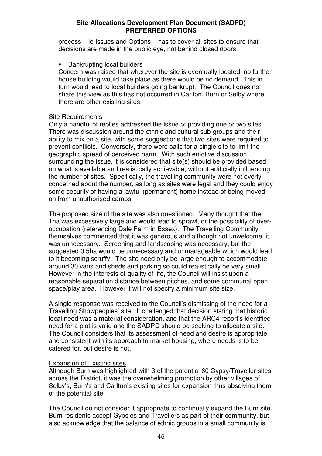process – ie Issues and Options – has to cover all sites to ensure that decisions are made in the public eye, not behind closed doors.

### • Bankrupting local builders

Concern was raised that wherever the site is eventually located, no further house building would take place as there would be no demand. This in turn would lead to local builders going bankrupt. The Council does not share this view as this has not occurred in Carlton, Burn or Selby where there are other existing sites.

### Site Requirements

Only a handful of replies addressed the issue of providing one or two sites. There was discussion around the ethnic and cultural sub-groups and their ability to mix on a site, with some suggestions that two sites were required to prevent conflicts. Conversely, there were calls for a single site to limit the geographic spread of perceived harm. With such emotive discussion surrounding the issue, it is considered that site(s) should be provided based on what is available and realistically achievable, without artificially influencing the number of sites. Specifically, the travelling community were not overly concerned about the number, as long as sites were legal and they could enjoy some security of having a lawful (permanent) home instead of being moved on from unauthorised camps.

The proposed size of the site was also questioned. Many thought that the 1ha was excessively large and would lead to sprawl, or the possibility of overoccupation (referencing Dale Farm in Essex). The Travelling Community themselves commented that it was generous and although not unwelcome, it was unnecessary. Screening and landscaping was necessary, but the suggested 0.5ha would be unnecessary and unmanageable which would lead to it becoming scruffy. The site need only be large enough to accommodate around 30 vans and sheds and parking so could realistically be very small. However in the interests of quality of life, the Council will insist upon a reasonable separation distance between pitches, and some communal open space/play area. However it will not specify a minimum site size.

A single response was received to the Council's dismissing of the need for a Travelling Showpeoples' site. It challenged that decision stating that historic local need was a material consideration, and that the ARC4 report's identified need for a plot is valid and the SADPD should be seeking to allocate a site. The Council considers that its assessment of need and desire is appropriate and consistent with its approach to market housing, where needs is to be catered for, but desire is not.

### Expansion of Existing sites

Although Burn was highlighted with 3 of the potential 60 Gypsy/Traveller sites across the District, it was the overwhelming promotion by other villages of Selby's, Burn's and Carlton's existing sites for expansion thus absolving them of the potential site.

The Council do not consider it appropriate to continually expand the Burn site. Burn residents accept Gypsies and Travellers as part of their community, but also acknowledge that the balance of ethnic groups in a small community is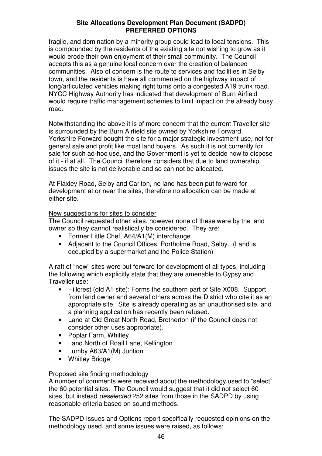fragile, and domination by a minority group could lead to local tensions. This is compounded by the residents of the existing site not wishing to grow as it would erode their own enjoyment of their small community. The Council accepts this as a genuine local concern over the creation of balanced communities. Also of concern is the route to services and facilities in Selby town, and the residents is have all commented on the highway impact of long/articulated vehicles making right turns onto a congested A19 trunk road. NYCC Highway Authority has indicated that development of Burn Airfield would require traffic management schemes to limit impact on the already busy road.

Notwithstanding the above it is of more concern that the current Traveller site is surrounded by the Burn Airfield site owned by Yorkshire Forward. Yorkshire Forward bought the site for a major strategic investment use, not for general sale and profit like most land buyers. As such it is not currently for sale for such ad-hoc use, and the Government is yet to decide how to dispose of it - if at all. The Council therefore considers that due to land ownership issues the site is not deliverable and so can not be allocated.

At Flaxley Road, Selby and Carlton, no land has been put forward for development at or near the sites, therefore no allocation can be made at either site.

### New suggestions for sites to consider

The Council requested other sites, however none of these were by the land owner so they cannot realistically be considered. They are:

- Former Little Chef, A64/A1(M) interchange
- Adjacent to the Council Offices, Portholme Road, Selby. (Land is occupied by a supermarket and the Police Station)

A raft of "new" sites were put forward for development of all types, including the following which explicitly state that they are amenable to Gypsy and Traveller use:

- Hillcrest (old A1 site): Forms the southern part of Site X008. Support from land owner and several others across the District who cite it as an appropriate site. Site is already operating as an unauthorised site, and a planning application has recently been refused.
- Land at Old Great North Road, Brotherton (if the Council does not consider other uses appropriate).
- Poplar Farm, Whitley
- Land North of Roall Lane, Kellington
- Lumby A63/A1(M) Juntion
- Whitley Bridge

### Proposed site finding methodology

A number of comments were received about the methodology used to "select" the 60 potential sites. The Council would suggest that it did not select 60 sites, but instead *deselected* 252 sites from those in the SADPD by using reasonable criteria based on sound methods.

The SADPD Issues and Options report specifically requested opinions on the methodology used, and some issues were raised, as follows: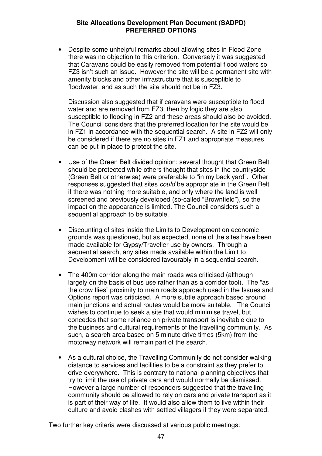• Despite some unhelpful remarks about allowing sites in Flood Zone there was no objection to this criterion. Conversely it was suggested that Caravans could be easily removed from potential flood waters so FZ3 isn't such an issue. However the site will be a permanent site with amenity blocks and other infrastructure that is susceptible to floodwater, and as such the site should not be in FZ3.

Discussion also suggested that if caravans were susceptible to flood water and are removed from FZ3, then by logic they are also susceptible to flooding in FZ2 and these areas should also be avoided. The Council considers that the preferred location for the site would be in FZ1 in accordance with the sequential search. A site in FZ2 will only be considered if there are no sites in FZ1 and appropriate measures can be put in place to protect the site.

- Use of the Green Belt divided opinion: several thought that Green Belt should be protected while others thought that sites in the countryside (Green Belt or otherwise) were preferable to "in my back yard". Other responses suggested that sites *could* be appropriate in the Green Belt if there was nothing more suitable, and only where the land is well screened and previously developed (so-called "Brownfield"), so the impact on the appearance is limited. The Council considers such a sequential approach to be suitable.
- Discounting of sites inside the Limits to Development on economic grounds was questioned, but as expected, none of the sites have been made available for Gypsy/Traveller use by owners. Through a sequential search, any sites made available within the Limit to Development will be considered favourably in a sequential search.
- The 400m corridor along the main roads was criticised (although largely on the basis of bus use rather than as a corridor tool). The "as the crow flies" proximity to main roads approach used in the Issues and Options report was criticised. A more subtle approach based around main junctions and actual routes would be more suitable. The Council wishes to continue to seek a site that would minimise travel, but concedes that some reliance on private transport is inevitable due to the business and cultural requirements of the travelling community. As such, a search area based on 5 minute drive times (5km) from the motorway network will remain part of the search.
- As a cultural choice, the Travelling Community do not consider walking distance to services and facilities to be a constraint as they prefer to drive everywhere. This is contrary to national planning objectives that try to limit the use of private cars and would normally be dismissed. However a large number of responders suggested that the travelling community should be allowed to rely on cars and private transport as it is part of their way of life. It would also allow them to live within their culture and avoid clashes with settled villagers if they were separated.

Two further key criteria were discussed at various public meetings: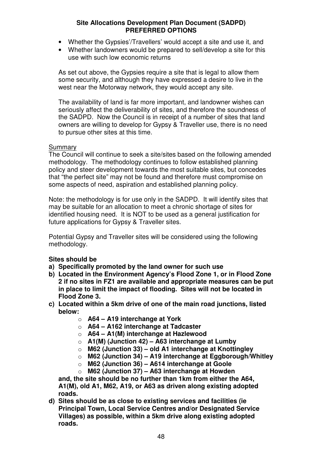- Whether the Gypsies'/Travellers' would accept a site and use it, and
- Whether landowners would be prepared to sell/develop a site for this use with such low economic returns

As set out above, the Gypsies require a site that is legal to allow them some security, and although they have expressed a desire to live in the west near the Motorway network, they would accept any site.

The availability of land is far more important, and landowner wishes can seriously affect the deliverability of sites, and therefore the soundness of the SADPD. Now the Council is in receipt of a number of sites that land owners are willing to develop for Gypsy & Traveller use, there is no need to pursue other sites at this time.

### Summary

The Council will continue to seek a site/sites based on the following amended methodology. The methodology continues to follow established planning policy and steer development towards the most suitable sites, but concedes that "the perfect site" may not be found and therefore must compromise on some aspects of need, aspiration and established planning policy.

Note: the methodology is for use only in the SADPD. It will identify sites that may be suitable for an allocation to meet a chronic shortage of sites for identified housing need. It is NOT to be used as a general justification for future applications for Gypsy & Traveller sites.

Potential Gypsy and Traveller sites will be considered using the following methodology.

### **Sites should be**

- **a) Specifically promoted by the land owner for such use**
- **b) Located in the Environment Agency's Flood Zone 1, or in Flood Zone 2 if no sites in FZ1 are available and appropriate measures can be put in place to limit the impact of flooding. Sites will not be located in Flood Zone 3.**
- **c) Located within a 5km drive of one of the main road junctions, listed below:**
	- o **A64 – A19 interchange at York**
	- o **A64 – A162 interchange at Tadcaster**
	- o **A64 – A1(M) interchange at Hazlewood**
	- o **A1(M) (Junction 42) – A63 interchange at Lumby**
	- o **M62 (Junction 33) – old A1 interchange at Knottingley**
	- o **M62 (Junction 34) – A19 interchange at Eggborough/Whitley**
	- o **M62 (Junction 36) – A614 interchange at Goole**
	- o **M62 (Junction 37) – A63 interchange at Howden**

**and, the site should be no further than 1km from either the A64, A1(M), old A1, M62, A19, or A63 as driven along existing adopted roads.**

**d) Sites should be as close to existing services and facilities (ie Principal Town, Local Service Centres and/or Designated Service Villages) as possible, within a 5km drive along existing adopted roads.**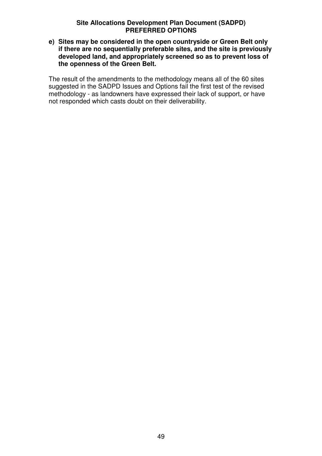**e) Sites may be considered in the open countryside or Green Belt only if there are no sequentially preferable sites, and the site is previously developed land, and appropriately screened so as to prevent loss of the openness of the Green Belt.**

The result of the amendments to the methodology means all of the 60 sites suggested in the SADPD Issues and Options fail the first test of the revised methodology - as landowners have expressed their lack of support, or have not responded which casts doubt on their deliverability.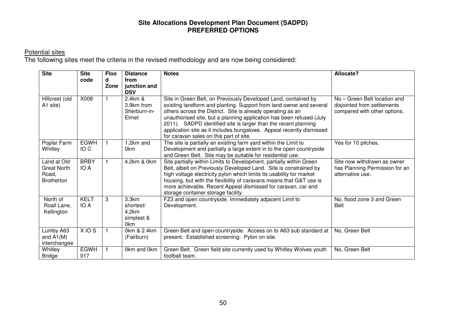Potential sites The following sites meet the criteria in the revised methodology and are now being considered:

| <b>Site</b>                                                     | <b>Site</b><br>code            | <b>Floo</b><br>d<br>Zone | <b>Distance</b><br>from<br>junction and<br><b>DSV</b>        | <b>Notes</b>                                                                                                                                                                                                                                                                                                                                                                                                                                                       | <b>Allocate?</b>                                                                            |
|-----------------------------------------------------------------|--------------------------------|--------------------------|--------------------------------------------------------------|--------------------------------------------------------------------------------------------------------------------------------------------------------------------------------------------------------------------------------------------------------------------------------------------------------------------------------------------------------------------------------------------------------------------------------------------------------------------|---------------------------------------------------------------------------------------------|
| Hillcrest (old<br>A1 site)                                      | X008                           |                          | 2.4km &<br>3.9km from<br>Sherburn-in-<br>Elmet               | Site in Green Belt, on Previously Developed Land, contained by<br>existing landform and planting. Support from land owner and several<br>others across the District. Site is already operating as an<br>unauthorised site, but a planning application has been refused (July<br>2011). SADPD identified site is larger than the recent planning<br>application site as it includes bungalows. Appeal recently dismissed<br>for caravan sales on this part of site. | No - Green Belt location and<br>disjointed from settlements<br>compared with other options. |
| Poplar Farm<br>Whitley                                          | <b>EGWH</b><br>IO <sub>C</sub> |                          | 1.2km and<br>0km                                             | The site is partially an existing farm yard within the Limit to<br>Development and partially a large extent in to the open countryside<br>and Green Belt. Site may be suitable for residential use.                                                                                                                                                                                                                                                                | Yes for 10 pitches.                                                                         |
| Land at Old<br><b>Great North</b><br>Road,<br><b>Brotherton</b> | <b>BRBY</b><br>IO A            |                          | 4.2km & 0km                                                  | Site partially within Limits to Development, partially within Green<br>Belt, albeit on Previously Developed Land. Site is constrained by<br>high voltage electricity pylon which limits its usability for market<br>housing, but with the flexibility of caravans means that G&T use is<br>more achievable. Recent Appeal dismissed for caravan, car and<br>storage container storage facility.                                                                    | Site now withdrawn as owner<br>has Planning Permission for an<br>alternative use.           |
| North of<br>Roall Lane,<br>Kellington                           | <b>KELT</b><br>IO A            | 3                        | 3.3km<br>shortest/<br>4.2km<br>simplest &<br>0 <sub>km</sub> | FZ3 and open countryside. Immediately adjacent Limit to<br>Development.                                                                                                                                                                                                                                                                                                                                                                                            | No, flood zone 3 and Green<br><b>Belt</b>                                                   |
| Lumby A63<br>and $A1(M)$<br>interchangee                        | XIOS                           |                          | 0km & 2.4km<br>(Fairburn)                                    | Green Belt and open countryside. Access on to A63 sub standard at<br>present. Established screening. Pylon on site.                                                                                                                                                                                                                                                                                                                                                | No, Green Belt                                                                              |
| Whitley<br><b>Bridge</b>                                        | <b>EGWH</b><br>017             |                          | 0km and 0km                                                  | Green Belt. Green field site currently used by Whitley Wolves youth<br>football team.                                                                                                                                                                                                                                                                                                                                                                              | No, Green Belt                                                                              |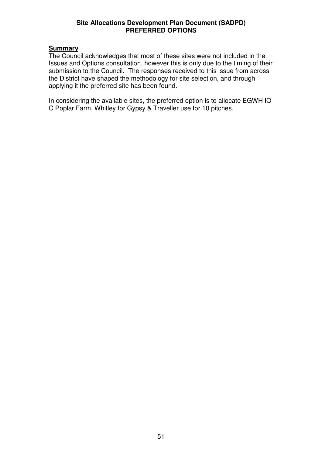### **Summary**

The Council acknowledges that most of these sites were not included in the Issues and Options consultation, however this is only due to the timing of their submission to the Council. The responses received to this issue from across the District have shaped the methodology for site selection, and through applying it the preferred site has been found.

In considering the available sites, the preferred option is to allocate EGWH IO C Poplar Farm, Whitley for Gypsy & Traveller use for 10 pitches.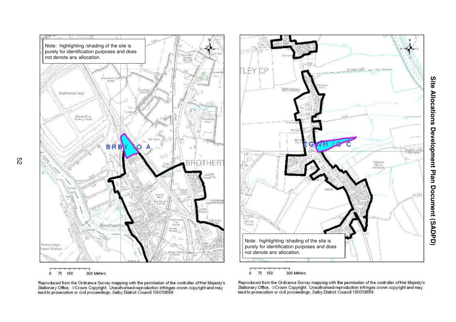

5 2



Reproduced from the Ordnance Survey mapping with the permission of the controller of Her Majesty's<br>Stationary Office. ©Crown Copyright. Unauthorised reproduction infringes crown copyright and may<br>lead to prosecution or civ

Reproduced from the Ordnance Survey mapping with the permission of the controller of Her Majesty's<br>Stationary Office, ©Crown Copyright, Unauthorised reproduction infringes crown copyright and may<br>lead to prosecution or civ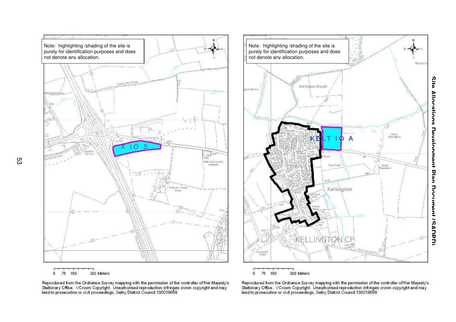



Reproduced from the Ordnance Survey mapping with the permission of the controller of Her Majesty's<br>Stationary Office. ©Crown Copyright. Unauthorised reproduction infringes crown copyright and may<br>lead to prosecution or civ

Reproduced from the Ordnance Survey mapping with the permission of the controller of Her Majesty's<br>Stationary Office, ©Crown Copyright, Unauthorised reproduction infringes crown copyright and may<br>lead to prosecution or civ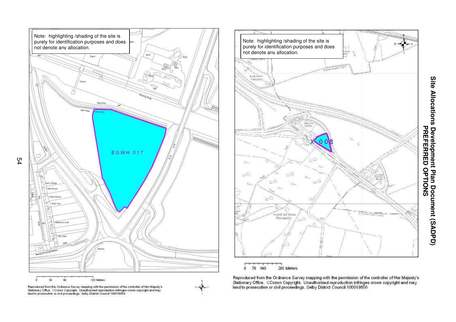





Reprocluced from the Orchance Survey mapping with the permission of the controller of Her Majesty's<br>Stationary Office, ©Crown Copyright, Unauthorised reproduction infringes crown copyright and may<br>lead to prosecution or ci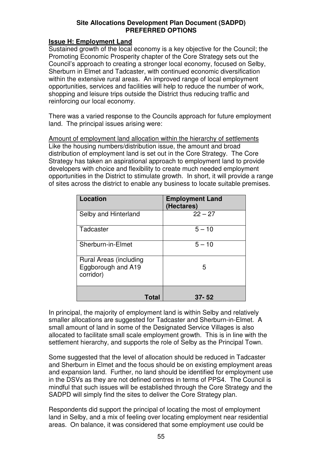### **Issue H: Employment Land**

Sustained growth of the local economy is a key objective for the Council; the Promoting Economic Prosperity chapter of the Core Strategy sets out the Council's approach to creating a stronger local economy, focused on Selby, Sherburn in Elmet and Tadcaster, with continued economic diversification within the extensive rural areas. An improved range of local employment opportunities, services and facilities will help to reduce the number of work, shopping and leisure trips outside the District thus reducing traffic and reinforcing our local economy.

There was a varied response to the Councils approach for future employment land. The principal issues arising were:

Amount of employment land allocation within the hierarchy of settlements Like the housing numbers/distribution issue, the amount and broad distribution of employment land is set out in the Core Strategy. The Core Strategy has taken an aspirational approach to employment land to provide developers with choice and flexibility to create much needed employment opportunities in the District to stimulate growth. In short, it will provide a range of sites across the district to enable any business to locate suitable premises.

| Location                                                  | <b>Employment Land</b><br>(Hectares) |
|-----------------------------------------------------------|--------------------------------------|
| Selby and Hinterland                                      | $22 - 27$                            |
| Tadcaster                                                 | $5 - 10$                             |
| Sherburn-in-Elmet                                         | $5 - 10$                             |
| Rural Areas (including<br>Eggborough and A19<br>corridor) | 5                                    |
| Total                                                     | $37 - 52$                            |

In principal, the majority of employment land is within Selby and relatively smaller allocations are suggested for Tadcaster and Sherburn-in-Elmet. A small amount of land in some of the Designated Service Villages is also allocated to facilitate small scale employment growth. This is in line with the settlement hierarchy, and supports the role of Selby as the Principal Town.

Some suggested that the level of allocation should be reduced in Tadcaster and Sherburn in Elmet and the focus should be on existing employment areas and expansion land. Further, no land should be identified for employment use in the DSVs as they are not defined centres in terms of PPS4. The Council is mindful that such issues will be established through the Core Strategy and the SADPD will simply find the sites to deliver the Core Strategy plan.

Respondents did support the principal of locating the most of employment land in Selby, and a mix of feeling over locating employment near residential areas. On balance, it was considered that some employment use could be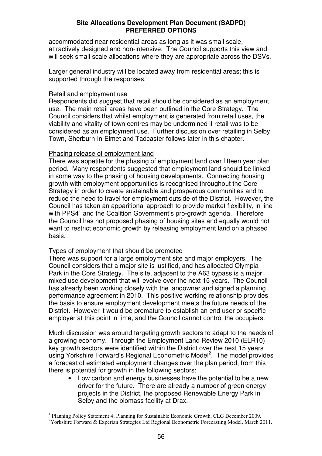accommodated near residential areas as long as it was small scale, attractively designed and non-intensive. The Council supports this view and will seek small scale allocations where they are appropriate across the DSVs.

Larger general industry will be located away from residential areas; this is supported through the responses.

### Retail and employment use

Respondents did suggest that retail should be considered as an employment use. The main retail areas have been outlined in the Core Strategy. The Council considers that whilst employment is generated from retail uses, the viability and vitality of town centres may be undermined if retail was to be considered as an employment use. Further discussion over retailing in Selby Town, Sherburn-in-Elmet and Tadcaster follows later in this chapter.

### Phasing release of employment land

There was appetite for the phasing of employment land over fifteen year plan period. Many respondents suggested that employment land should be linked in some way to the phasing of housing developments. Connecting housing growth with employment opportunities is recognised throughout the Core Strategy in order to create sustainable and prosperous communities and to reduce the need to travel for employment outside of the District. However, the Council has taken an apparitional approach to provide market flexibility, in line with PPS4<sup>1</sup> and the Coalition Government's pro-growth agenda. Therefore the Council has not proposed phasing of housing sites and equally would not want to restrict economic growth by releasing employment land on a phased basis.

### Types of employment that should be promoted

There was support for a large employment site and major employers. The Council considers that a major site is justified, and has allocated Olympia Park in the Core Strategy. The site, adjacent to the A63 bypass is a major mixed use development that will evolve over the next 15 years. The Council has already been working closely with the landowner and signed a planning performance agreement in 2010. This positive working relationship provides the basis to ensure employment development meets the future needs of the District. However it would be premature to establish an end user or specific employer at this point in time, and the Council cannot control the occupiers.

Much discussion was around targeting growth sectors to adapt to the needs of a growing economy. Through the Employment Land Review 2010 (ELR10) key growth sectors were identified within the District over the next 15 years using Yorkshire Forward's Regional Econometric Model<sup>2</sup>. The model provides a forecast of estimated employment changes over the plan period, from this there is potential for growth in the following sectors;

• Low carbon and energy businesses have the potential to be a new driver for the future. There are already a number of green energy projects in the District, the proposed Renewable Energy Park in Selby and the biomass facility at Drax.

<sup>&</sup>lt;sup>1</sup> Planning Policy Statement 4; Planning for Sustainable Economic Growth, CLG December 2009. <sup>2</sup>Yorkshire Forward & Experian Strategies Ltd Regional Econometric Forecasting Model, March 2011.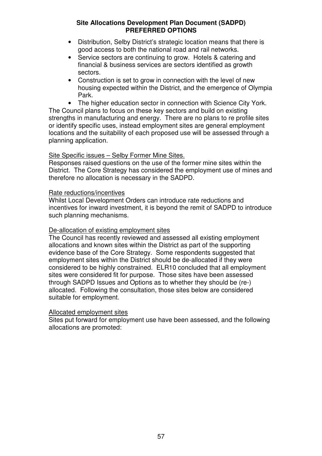- Distribution, Selby District's strategic location means that there is good access to both the national road and rail networks.
- Service sectors are continuing to grow. Hotels & catering and financial & business services are sectors identified as growth sectors.
- Construction is set to grow in connection with the level of new housing expected within the District, and the emergence of Olympia Park.

• The higher education sector in connection with Science City York. The Council plans to focus on these key sectors and build on existing strengths in manufacturing and energy. There are no plans to re profile sites or identify specific uses, instead employment sites are general employment locations and the suitability of each proposed use will be assessed through a planning application.

### Site Specific issues – Selby Former Mine Sites.

Responses raised questions on the use of the former mine sites within the District. The Core Strategy has considered the employment use of mines and therefore no allocation is necessary in the SADPD.

### Rate reductions/incentives

Whilst Local Development Orders can introduce rate reductions and incentives for inward investment, it is beyond the remit of SADPD to introduce such planning mechanisms.

### De-allocation of existing employment sites

The Council has recently reviewed and assessed all existing employment allocations and known sites within the District as part of the supporting evidence base of the Core Strategy. Some respondents suggested that employment sites within the District should be de-allocated if they were considered to be highly constrained. ELR10 concluded that all employment sites were considered fit for purpose. Those sites have been assessed through SADPD Issues and Options as to whether they should be (re-) allocated. Following the consultation, those sites below are considered suitable for employment.

### Allocated employment sites

Sites put forward for employment use have been assessed, and the following allocations are promoted: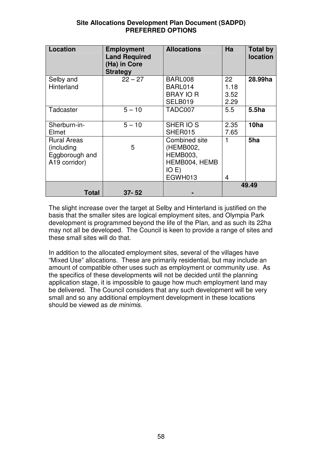| Site Allocations Development Plan Document (SADPD) |  |
|----------------------------------------------------|--|
| <b>PREFERRED OPTIONS</b>                           |  |

| <b>Location</b>                                                     | <b>Employment</b><br><b>Land Required</b><br>(Ha) in Core<br><b>Strategy</b> | <b>Allocations</b>                                                                 | Ha                         | <b>Total by</b><br><b>location</b> |
|---------------------------------------------------------------------|------------------------------------------------------------------------------|------------------------------------------------------------------------------------|----------------------------|------------------------------------|
| Selby and<br>Hinterland                                             | $22 - 27$                                                                    | BARL008<br>BARL014<br><b>BRAY IO R</b><br>SELB019                                  | 22<br>1.18<br>3.52<br>2.29 | 28.99ha                            |
| Tadcaster                                                           | $5 - 10$                                                                     | TADC007                                                                            | 5.5                        | 5.5ha                              |
| Sherburn-in-<br>Elmet                                               | $5 - 10$                                                                     | SHER IO S<br>SHER015                                                               | 2.35<br>7.65               | 10 <sub>ha</sub>                   |
| <b>Rural Areas</b><br>(including<br>Eggborough and<br>A19 corridor) | 5                                                                            | Combined site<br>(HEMB002,<br><b>HEMB003,</b><br>HEMB004, HEMB<br>IO E)<br>EGWH013 | 1<br>4                     | 5ha                                |
| <b>Total</b>                                                        | $37 - 52$                                                                    |                                                                                    |                            | 49.49                              |

The slight increase over the target at Selby and Hinterland is justified on the basis that the smaller sites are logical employment sites, and Olympia Park development is programmed beyond the life of the Plan, and as such its 22ha may not all be developed. The Council is keen to provide a range of sites and these small sites will do that.

In addition to the allocated employment sites, several of the villages have "Mixed Use" allocations. These are primarily residential, but may include an amount of compatible other uses such as employment or community use. As the specifics of these developments will not be decided until the planning application stage, it is impossible to gauge how much employment land may be delivered. The Council considers that any such development will be very small and so any additional employment development in these locations should be viewed as *de minimis*.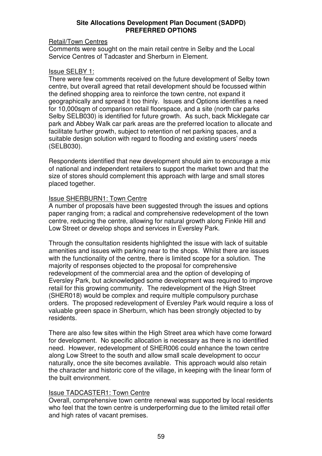### Retail/Town Centres

Comments were sought on the main retail centre in Selby and the Local Service Centres of Tadcaster and Sherburn in Element.

### Issue SELBY 1:

There were few comments received on the future development of Selby town centre, but overall agreed that retail development should be focussed within the defined shopping area to reinforce the town centre, not expand it geographically and spread it too thinly. Issues and Options identifies a need for 10,000sqm of comparison retail floorspace, and a site (north car parks Selby SELB030) is identified for future growth. As such, back Micklegate car park and Abbey Walk car park areas are the preferred location to allocate and facilitate further growth, subject to retention of net parking spaces, and a suitable design solution with regard to flooding and existing users' needs (SELB030).

Respondents identified that new development should aim to encourage a mix of national and independent retailers to support the market town and that the size of stores should complement this approach with large and small stores placed together.

### Issue SHERBURN1: Town Centre

A number of proposals have been suggested through the issues and options paper ranging from; a radical and comprehensive redevelopment of the town centre, reducing the centre, allowing for natural growth along Finkle Hill and Low Street or develop shops and services in Eversley Park.

Through the consultation residents highlighted the issue with lack of suitable amenities and issues with parking near to the shops. Whilst there are issues with the functionality of the centre, there is limited scope for a solution. The majority of responses objected to the proposal for comprehensive redevelopment of the commercial area and the option of developing of Eversley Park, but acknowledged some development was required to improve retail for this growing community. The redevelopment of the High Street (SHER018) would be complex and require multiple compulsory purchase orders. The proposed redevelopment of Eversley Park would require a loss of valuable green space in Sherburn, which has been strongly objected to by residents.

There are also few sites within the High Street area which have come forward for development. No specific allocation is necessary as there is no identified need. However, redevelopment of SHER006 could enhance the town centre along Low Street to the south and allow small scale development to occur naturally, once the site becomes available. This approach would also retain the character and historic core of the village, in keeping with the linear form of the built environment.

### Issue TADCASTER1: Town Centre

Overall, comprehensive town centre renewal was supported by local residents who feel that the town centre is underperforming due to the limited retail offer and high rates of vacant premises.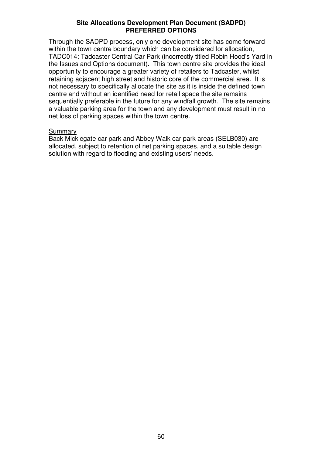Through the SADPD process, only one development site has come forward within the town centre boundary which can be considered for allocation, TADC014: Tadcaster Central Car Park (incorrectly titled Robin Hood's Yard in the Issues and Options document). This town centre site provides the ideal opportunity to encourage a greater variety of retailers to Tadcaster, whilst retaining adjacent high street and historic core of the commercial area. It is not necessary to specifically allocate the site as it is inside the defined town centre and without an identified need for retail space the site remains sequentially preferable in the future for any windfall growth. The site remains a valuable parking area for the town and any development must result in no net loss of parking spaces within the town centre.

### **Summary**

Back Micklegate car park and Abbey Walk car park areas (SELB030) are allocated, subject to retention of net parking spaces, and a suitable design solution with regard to flooding and existing users' needs.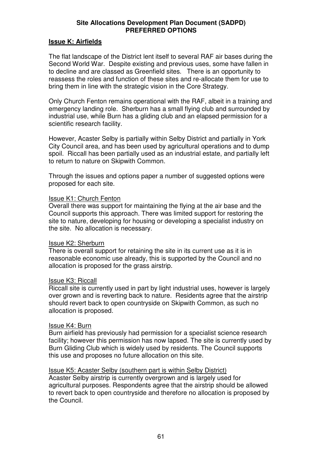### **Issue K: Airfields**

The flat landscape of the District lent itself to several RAF air bases during the Second World War. Despite existing and previous uses, some have fallen in to decline and are classed as Greenfield sites. There is an opportunity to reassess the roles and function of these sites and re-allocate them for use to bring them in line with the strategic vision in the Core Strategy.

Only Church Fenton remains operational with the RAF, albeit in a training and emergency landing role. Sherburn has a small flying club and surrounded by industrial use, while Burn has a gliding club and an elapsed permission for a scientific research facility.

However, Acaster Selby is partially within Selby District and partially in York City Council area, and has been used by agricultural operations and to dump spoil. Riccall has been partially used as an industrial estate, and partially left to return to nature on Skipwith Common.

Through the issues and options paper a number of suggested options were proposed for each site.

### Issue K1: Church Fenton

Overall there was support for maintaining the flying at the air base and the Council supports this approach. There was limited support for restoring the site to nature, developing for housing or developing a specialist industry on the site. No allocation is necessary.

### Issue K2: Sherburn

There is overall support for retaining the site in its current use as it is in reasonable economic use already, this is supported by the Council and no allocation is proposed for the grass airstrip.

### Issue K3: Riccall

Riccall site is currently used in part by light industrial uses, however is largely over grown and is reverting back to nature. Residents agree that the airstrip should revert back to open countryside on Skipwith Common, as such no allocation is proposed.

### Issue K4: Burn

Burn airfield has previously had permission for a specialist science research facility; however this permission has now lapsed. The site is currently used by Burn Gliding Club which is widely used by residents. The Council supports this use and proposes no future allocation on this site.

### Issue K5: Acaster Selby (southern part is within Selby District)

Acaster Selby airstrip is currently overgrown and is largely used for agricultural purposes. Respondents agree that the airstrip should be allowed to revert back to open countryside and therefore no allocation is proposed by the Council.